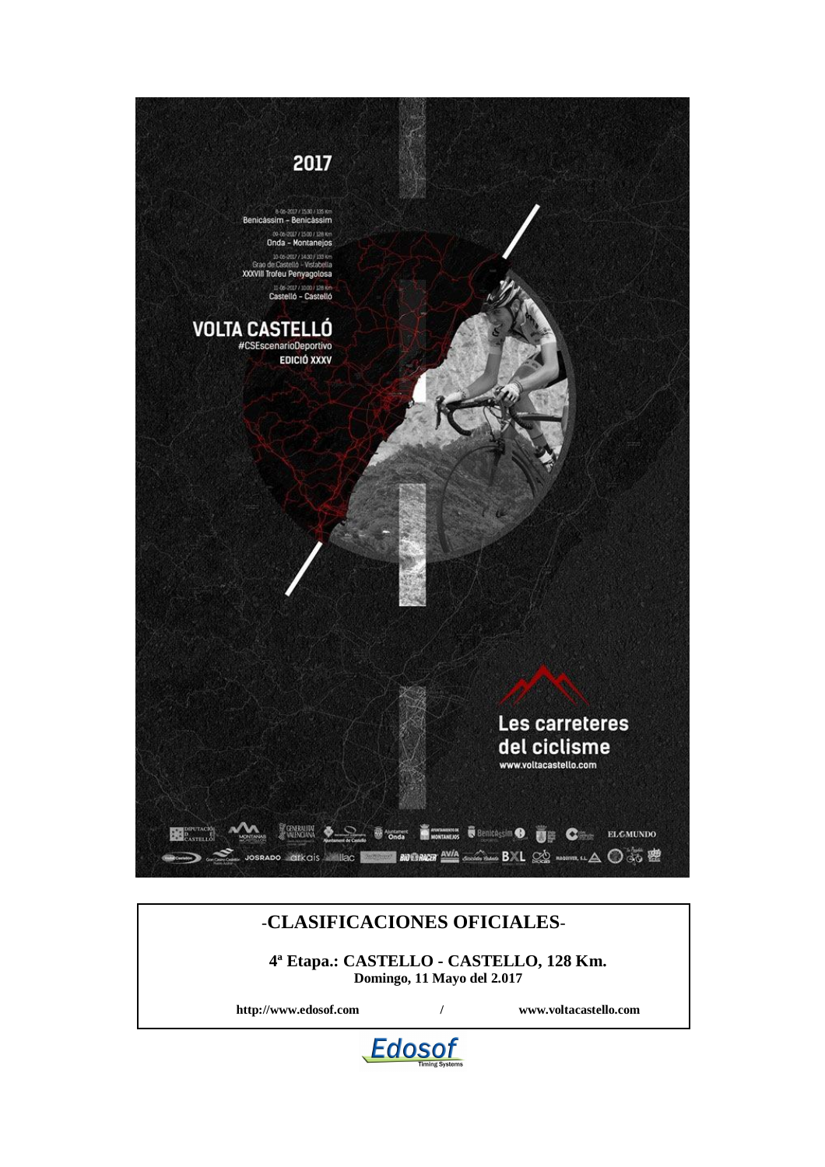

## -**CLASIFICACIONES OFICIALES**-

**4ª Etapa.: CASTELLO - CASTELLO, 128 Km. Domingo, 11 Mayo del 2.017**

**http://www.edosof.com / www.voltacastello.com**



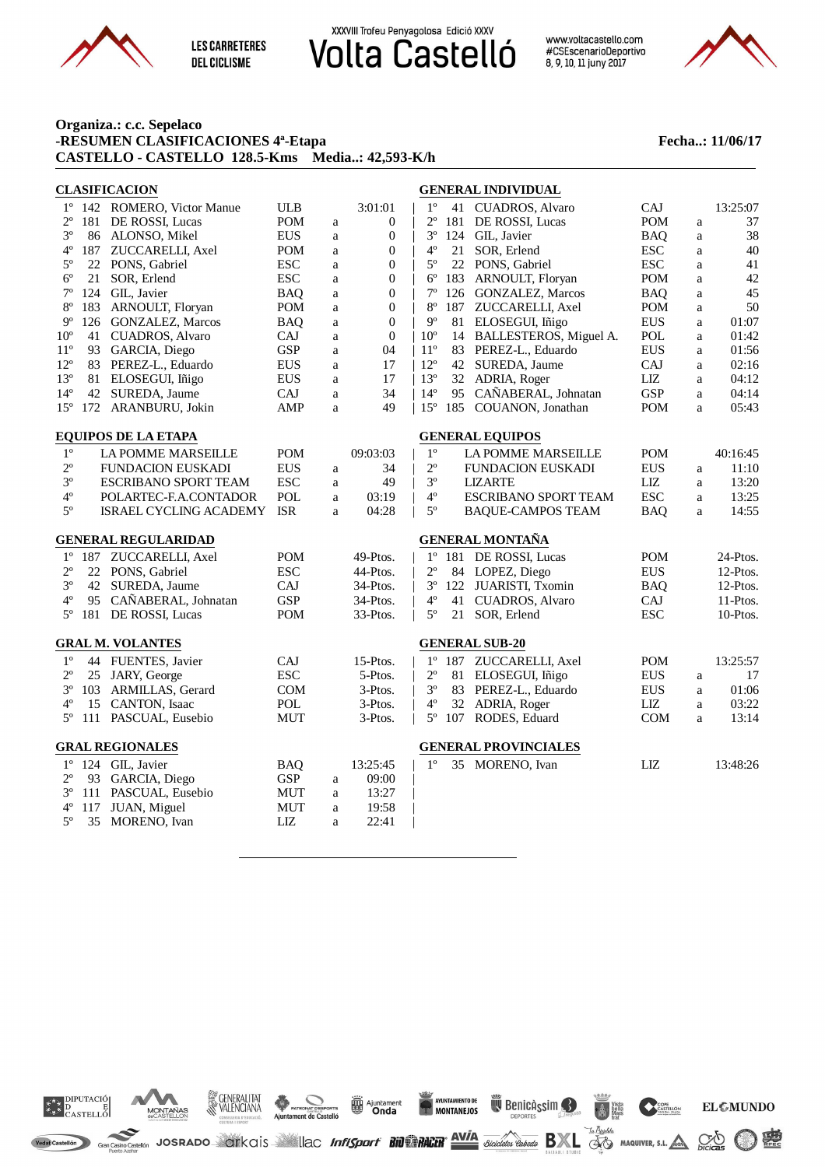

**LES CARRETERES** DEL CICLISME

WOLLA Castello Avan

www.voltacastello.com #CSEscenarioDeportivo



#### **Organiza.: c.c. Sepelaco -RESUMEN CLASIFICACIONES 4ª-Etapa Fecha..: 11/06/17 CASTELLO - CASTELLO 128.5-Kms Media..: 42,593-K/h**

|              |     | <b>CLASIFICACION</b>          |            |   |                  | <b>GENERAL INDIVIDUAL</b>                                     |          |
|--------------|-----|-------------------------------|------------|---|------------------|---------------------------------------------------------------|----------|
|              |     | 1º 142 ROMERO, Victor Manue   | <b>ULB</b> |   | 3:01:01          | $1^{\circ}$<br>41 CUADROS, Alvaro<br>CAJ                      | 13:25:07 |
| $2^{\circ}$  | 181 | DE ROSSI, Lucas               | <b>POM</b> | a | $\boldsymbol{0}$ | $2^{\circ}$<br>181<br>DE ROSSI, Lucas<br><b>POM</b><br>a      | 37       |
| $3^{\circ}$  |     | 86 ALONSO, Mikel              | <b>EUS</b> | a | $\boldsymbol{0}$ | $3^{\circ}$<br>124 GIL, Javier<br><b>BAQ</b><br>a             | 38       |
| $4^{\circ}$  | 187 | ZUCCARELLI, Axel              | <b>POM</b> | a | $\boldsymbol{0}$ | $4^{\circ}$<br>21<br>SOR, Erlend<br><b>ESC</b><br>a           | 40       |
| $5^{\rm o}$  |     | 22 PONS, Gabriel              | <b>ESC</b> | a | $\boldsymbol{0}$ | $5^{\circ}$<br><b>ESC</b><br>22 PONS, Gabriel<br>a            | 41       |
| $6^{\circ}$  | 21  | SOR, Erlend                   | <b>ESC</b> | a | $\boldsymbol{0}$ | $6^{\circ}$<br>183 ARNOULT, Floryan<br><b>POM</b><br>a        | 42       |
| $7^{\circ}$  | 124 | GIL, Javier                   | <b>BAO</b> | a | $\mathbf{0}$     | $7^{\circ}$<br>126 GONZALEZ, Marcos<br><b>BAO</b><br>a        | 45       |
| $8^{\circ}$  | 183 | ARNOULT, Floryan              | POM        | a | $\theta$         | $8^{\circ}$<br><b>POM</b><br>187 ZUCCARELLI, Axel<br>a        | 50       |
| $9^{\circ}$  | 126 | <b>GONZALEZ, Marcos</b>       | BAQ        | a | $\boldsymbol{0}$ | $9^{\circ}$<br><b>EUS</b><br>81 ELOSEGUI, Iñigo<br>a          | 01:07    |
| $10^{\circ}$ | 41  | <b>CUADROS, Alvaro</b>        | CAJ        | a | $\theta$         | $10^{\circ}$<br>14 BALLESTEROS, Miguel A.<br>POL<br>a         | 01:42    |
| $11^{\circ}$ | 93  | GARCIA, Diego                 | <b>GSP</b> | a | 04               | $11^{\circ}$<br>83 PEREZ-L., Eduardo<br><b>EUS</b><br>a       | 01:56    |
| $12^{\circ}$ |     | 83 PEREZ-L., Eduardo          | <b>EUS</b> | a | 17               | $12^{\circ}$<br>42 SUREDA, Jaume<br>CAJ<br>a                  | 02:16    |
| $13^{\circ}$ |     | 81 ELOSEGUI, Iñigo            | <b>EUS</b> | a | 17               | $13^{\circ}$<br>$_{\rm LIZ}$<br>32 ADRIA, Roger<br>a          | 04:12    |
| $14^{\circ}$ |     | 42 SUREDA, Jaume              | <b>CAJ</b> | a | 34               | <b>GSP</b><br>$14^{\circ}$<br>95 CAÑABERAL, Johnatan<br>a     | 04:14    |
| $15^{\circ}$ | 172 | ARANBURU, Jokin               | AMP        | a | 49               | $15^{\circ}$<br>185 COUANON, Jonathan<br><b>POM</b><br>a      | 05:43    |
|              |     | <b>EQUIPOS DE LA ETAPA</b>    |            |   |                  | <b>GENERAL EQUIPOS</b>                                        |          |
| $1^{\circ}$  |     | LA POMME MARSEILLE            | POM        |   | 09:03:03         | $1^{\circ}$<br><b>LA POMME MARSEILLE</b><br><b>POM</b>        | 40:16:45 |
| $2^{\circ}$  |     | <b>FUNDACION EUSKADI</b>      | <b>EUS</b> | a | 34               | $2^{\circ}$<br><b>EUS</b><br>FUNDACION EUSKADI<br>a           | 11:10    |
| $3^{\circ}$  |     | <b>ESCRIBANO SPORT TEAM</b>   | <b>ESC</b> | a | 49               | $3^{\circ}$<br>LIZ<br><b>LIZARTE</b><br>a                     | 13:20    |
| $4^{\circ}$  |     | POLARTEC-F.A.CONTADOR         | <b>POL</b> | a | 03:19            | $4^{\circ}$<br><b>ESC</b><br><b>ESCRIBANO SPORT TEAM</b><br>a | 13:25    |
| $5^{\circ}$  |     | <b>ISRAEL CYCLING ACADEMY</b> | <b>ISR</b> | a | 04:28            | $5^{\circ}$<br><b>BAQUE-CAMPOS TEAM</b><br><b>BAQ</b><br>a    | 14:55    |
|              |     |                               |            |   |                  |                                                               |          |
|              |     | <b>GENERAL REGULARIDAD</b>    |            |   |                  | <b>GENERAL MONTAÑA</b>                                        |          |
| $1^{\circ}$  |     | 187 ZUCCARELLI, Axel          | <b>POM</b> |   | 49-Ptos.         | 1° 181 DE ROSSI, Lucas<br><b>POM</b>                          | 24-Ptos. |
| $2^{\rm o}$  | 22  | PONS, Gabriel                 | ESC        |   | 44-Ptos.         | $2^{\circ}$<br>84 LOPEZ, Diego<br><b>EUS</b>                  | 12-Ptos. |
| $3^{\circ}$  |     | 42 SUREDA, Jaume              | CAJ        |   | 34-Ptos.         | 3 <sup>o</sup><br>122 JUARISTI, Txomin<br><b>BAQ</b>          | 12-Ptos. |
| $4^{\circ}$  | 95  | CAÑABERAL, Johnatan           | <b>GSP</b> |   | 34-Ptos.         | $4^{\circ}$<br>41 CUADROS, Alvaro<br>CAJ                      | 11-Ptos. |
| $5^{\circ}$  |     | 181 DE ROSSI, Lucas           | <b>POM</b> |   | 33-Ptos.         | $5^{\circ}$<br><b>ESC</b><br>21 SOR, Erlend                   | 10-Ptos. |
|              |     | <b>GRAL M. VOLANTES</b>       |            |   |                  | <b>GENERAL SUB-20</b>                                         |          |
| $1^{\circ}$  |     | 44 FUENTES, Javier            | CAJ        |   | 15-Ptos.         | $1^{\circ}$<br>187 ZUCCARELLI, Axel<br><b>POM</b>             | 13:25:57 |
| $2^{\circ}$  | 25  | JARY, George                  | ESC        |   | 5-Ptos.          | $2^{\circ}$<br>81 ELOSEGUI, Iñigo<br><b>EUS</b><br>a          | 17       |
| $3^{\circ}$  |     | 103 ARMILLAS, Gerard          | <b>COM</b> |   | 3-Ptos.          | $3^{\circ}$<br><b>EUS</b><br>83 PEREZ-L., Eduardo<br>a        | 01:06    |
| $4^{\circ}$  | 15  | CANTON, Isaac                 | POL        |   | 3-Ptos.          | $4^{\circ}$<br>32 ADRIA, Roger<br>LIZ<br>a                    | 03:22    |
| $5^{\circ}$  |     | 111 PASCUAL, Eusebio          | <b>MUT</b> |   | 3-Ptos.          | $5^{\circ}$<br>107 RODES, Eduard<br><b>COM</b><br>a           | 13:14    |
|              |     | <b>GRAL REGIONALES</b>        |            |   |                  | <b>GENERAL PROVINCIALES</b>                                   |          |
|              |     | 1º 124 GIL, Javier            | <b>BAQ</b> |   | 13:25:45         | $1^{\circ}$<br>35 MORENO, Ivan<br>LIZ                         | 13:48:26 |
| $2^{\circ}$  |     | 93 GARCIA, Diego              | <b>GSP</b> | a | 09:00            |                                                               |          |
| $3^{\circ}$  |     | 111 PASCUAL, Eusebio          | MUT        | a | 13:27            |                                                               |          |
| $4^{\rm o}$  | 117 | JUAN, Miguel                  | MUT        | a | 19:58            |                                                               |          |
| $5^\circ$    |     | 35 MORENO, Ivan               | LIZ        | a | 22:41            |                                                               |          |
|              |     |                               |            |   |                  |                                                               |          |

AYUNTAMENTO DE RECORTES SIM

Ajuntament

nent de Castelló



Vedat Castellón

GENERALITAT

MONTANAS



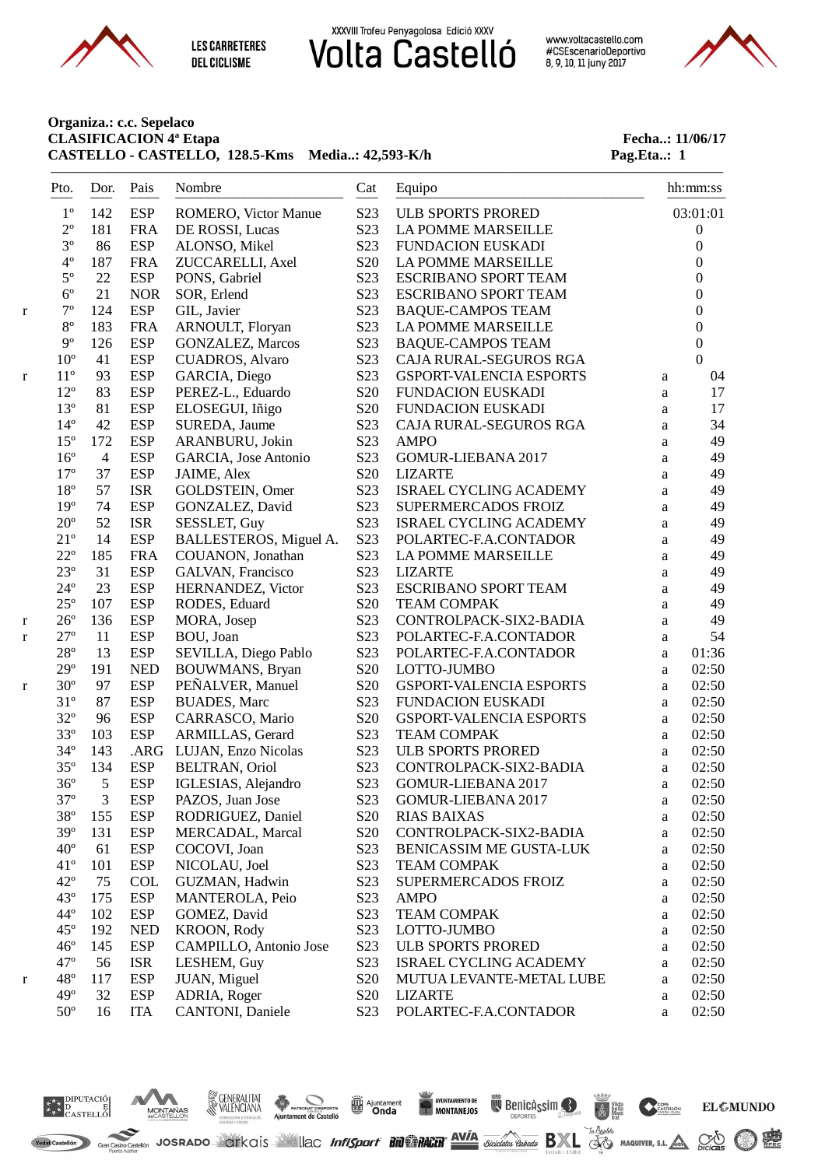

 $\begin{bmatrix} \hat{\xi}^{\hat{n}} \\ \hat{\xi}^{\hat{n}} \\ \end{bmatrix} \begin{bmatrix} \text{DIPUTACI0} \\ \text{D} \\ \text{CASTELLO} \end{bmatrix}$ 

Vedat Castellón

GENERALITAT

MONTANAS

**LES CARRETERES** DEL CICLISME

**Volta Castello** 

www.voltacastello.com #CSEscenarioDeportivo 8, 9, 10, 11 juny 2017



#### **Organiza.: c.c. Sepelaco CLASIFICACION 4ª Etapa Fecha..: 11/06/17 CASTELLO - CASTELLO, 128.5-Kms Media..: 42,593-K/h Pag.Eta..: 1**

|   | Pto.                   | Dor.           | Pais                    | Nombre                  | Cat              | Equipo                         |              | hh:mm:ss         |
|---|------------------------|----------------|-------------------------|-------------------------|------------------|--------------------------------|--------------|------------------|
|   | $- - -$<br>$1^{\circ}$ | $- - -$<br>142 | $- - - -$<br><b>ESP</b> | ROMERO, Victor Manue    | S23              | ULB SPORTS PRORED              |              | 03:01:01         |
|   | $2^{\circ}$            | 181            | <b>FRA</b>              | DE ROSSI, Lucas         | S <sub>2</sub> 3 | LA POMME MARSEILLE             |              | $\boldsymbol{0}$ |
|   | $3^{\circ}$            | 86             | <b>ESP</b>              | ALONSO, Mikel           | S <sub>2</sub> 3 | <b>FUNDACION EUSKADI</b>       |              | $\boldsymbol{0}$ |
|   | $4^{\circ}$            | 187            | <b>FRA</b>              | ZUCCARELLI, Axel        | S <sub>20</sub>  | LA POMME MARSEILLE             |              | $\boldsymbol{0}$ |
|   | $5^{\circ}$            | 22             | <b>ESP</b>              | PONS, Gabriel           | S23              | <b>ESCRIBANO SPORT TEAM</b>    |              | $\boldsymbol{0}$ |
|   | $6^{\circ}$            | 21             | <b>NOR</b>              | SOR, Erlend             | S23              | <b>ESCRIBANO SPORT TEAM</b>    |              | $\boldsymbol{0}$ |
| r | $7^{\circ}$            | 124            | <b>ESP</b>              | GIL, Javier             | S23              | <b>BAQUE-CAMPOS TEAM</b>       |              | $\boldsymbol{0}$ |
|   | $8^{\rm o}$            | 183            | <b>FRA</b>              | ARNOULT, Floryan        | S23              | LA POMME MARSEILLE             |              | $\boldsymbol{0}$ |
|   | $9^{\circ}$            | 126            | <b>ESP</b>              | <b>GONZALEZ, Marcos</b> | S <sub>2</sub> 3 | <b>BAQUE-CAMPOS TEAM</b>       |              | $\boldsymbol{0}$ |
|   | $10^{\circ}$           | 41             | <b>ESP</b>              | <b>CUADROS</b> , Alvaro | S23              | CAJA RURAL-SEGUROS RGA         |              | $\overline{0}$   |
| r | $11^{\circ}$           | 93             | <b>ESP</b>              | GARCIA, Diego           | S23              | GSPORT-VALENCIA ESPORTS        | a            | 04               |
|   | $12^{\circ}$           | 83             | <b>ESP</b>              | PEREZ-L., Eduardo       | S <sub>20</sub>  | <b>FUNDACION EUSKADI</b>       | a            | 17               |
|   | $13^{\circ}$           | 81             | <b>ESP</b>              | ELOSEGUI, Iñigo         | S <sub>20</sub>  | <b>FUNDACION EUSKADI</b>       | a            | 17               |
|   | $14^{\circ}$           | 42             | <b>ESP</b>              | SUREDA, Jaume           | S23              | CAJA RURAL-SEGUROS RGA         | a            | 34               |
|   | $15^{\circ}$           | 172            | <b>ESP</b>              | ARANBURU, Jokin         | S23              | <b>AMPO</b>                    | a            | 49               |
|   | $16^{\circ}$           | $\overline{4}$ | <b>ESP</b>              | GARCIA, Jose Antonio    | S <sub>23</sub>  | GOMUR-LIEBANA 2017             | a            | 49               |
|   | $17^{\circ}$           | 37             | <b>ESP</b>              | JAIME, Alex             | S <sub>20</sub>  | <b>LIZARTE</b>                 | a            | 49               |
|   | $18^{\circ}$           | 57             | <b>ISR</b>              | GOLDSTEIN, Omer         | S23              | ISRAEL CYCLING ACADEMY         | a            | 49               |
|   | 19 <sup>°</sup>        | 74             | <b>ESP</b>              | GONZALEZ, David         | S <sub>2</sub> 3 | SUPERMERCADOS FROIZ            | a            | 49               |
|   | $20^{\circ}$           | 52             | <b>ISR</b>              | SESSLET, Guy            | S <sub>2</sub> 3 | <b>ISRAEL CYCLING ACADEMY</b>  | a            | 49               |
|   | $21^{\circ}$           | 14             | <b>ESP</b>              | BALLESTEROS, Miguel A.  | S <sub>2</sub> 3 | POLARTEC-F.A.CONTADOR          | a            | 49               |
|   | $22^{\circ}$           | 185            | <b>FRA</b>              | COUANON, Jonathan       | S <sub>23</sub>  | LA POMME MARSEILLE             | $\rm{a}$     | 49               |
|   | $23^{\circ}$           | 31             | <b>ESP</b>              | GALVAN, Francisco       | S <sub>2</sub> 3 | <b>LIZARTE</b>                 | $\rm{a}$     | 49               |
|   | $24^{\circ}$           | 23             | <b>ESP</b>              | HERNANDEZ, Victor       | S <sub>2</sub> 3 | <b>ESCRIBANO SPORT TEAM</b>    | a            | 49               |
|   | $25^{\circ}$           | 107            | <b>ESP</b>              | RODES, Eduard           | S <sub>20</sub>  | <b>TEAM COMPAK</b>             | a            | 49               |
| r | $26^{\circ}$           | 136            | <b>ESP</b>              | MORA, Josep             | S23              | CONTROLPACK-SIX2-BADIA         | a            | 49               |
| r | $27^{\circ}$           | 11             | <b>ESP</b>              | BOU, Joan               | S23              | POLARTEC-F.A.CONTADOR          | a            | 54               |
|   | $28^{\circ}$           | 13             | <b>ESP</b>              | SEVILLA, Diego Pablo    | S23              | POLARTEC-F.A.CONTADOR          | a            | 01:36            |
|   | $29^{\circ}$           | 191            | <b>NED</b>              | BOUWMANS, Bryan         | S <sub>20</sub>  | LOTTO-JUMBO                    | a            | 02:50            |
| r | $30^{\circ}$           | 97             | <b>ESP</b>              | PEÑALVER, Manuel        | S <sub>20</sub>  | GSPORT-VALENCIA ESPORTS        | a            | 02:50            |
|   | $31^{\circ}$           | 87             | <b>ESP</b>              | <b>BUADES</b> , Marc    | S23              | <b>FUNDACION EUSKADI</b>       | a            | 02:50            |
|   | $32^{\circ}$           | 96             | <b>ESP</b>              | CARRASCO, Mario         | S <sub>20</sub>  | <b>GSPORT-VALENCIA ESPORTS</b> | a            | 02:50            |
|   | $33^{\circ}$           | 103            | <b>ESP</b>              | ARMILLAS, Gerard        | S <sub>2</sub> 3 | <b>TEAM COMPAK</b>             | a            | 02:50            |
|   | $34^\circ$             | 143            | .ARG                    | LUJAN, Enzo Nicolas     | S23              | ULB SPORTS PRORED              | a            | 02:50            |
|   | $35^{\circ}$           | 134            | <b>ESP</b>              | <b>BELTRAN, Oriol</b>   | S23              | CONTROLPACK-SIX2-BADIA         | $\mathbf{a}$ | 02:50            |
|   | $36^{\circ}$           | 5              | <b>ESP</b>              | IGLESIAS, Alejandro     | S23              | GOMUR-LIEBANA 2017             | a            | 02:50            |
|   | $37^{\circ}$           | 3              | <b>ESP</b>              | PAZOS, Juan Jose        | S23              | GOMUR-LIEBANA 2017             | a            | 02:50            |
|   | $38^{\circ}$           | 155            | <b>ESP</b>              | RODRIGUEZ, Daniel       | S <sub>20</sub>  | <b>RIAS BAIXAS</b>             | a            | 02:50            |
|   | 39°                    | 131            | <b>ESP</b>              | MERCADAL, Marcal        | S <sub>20</sub>  | CONTROLPACK-SIX2-BADIA         | a            | 02:50            |
|   | $40^{\circ}$           | 61             | <b>ESP</b>              | COCOVI, Joan            | S23              | <b>BENICASSIM ME GUSTA-LUK</b> | a            | 02:50            |
|   | $41^{\circ}$           | 101            | <b>ESP</b>              | NICOLAU, Joel           | S23              | <b>TEAM COMPAK</b>             | a            | 02:50            |
|   | $42^{\circ}$           | 75             | <b>COL</b>              | GUZMAN, Hadwin          | S23              | SUPERMERCADOS FROIZ            | a            | 02:50            |
|   | $43^{\circ}$           | 175            | <b>ESP</b>              | MANTEROLA, Peio         | S23              | <b>AMPO</b>                    | a            | 02:50            |
|   | $44^{\circ}$           | 102            | <b>ESP</b>              | GOMEZ, David            | S23              | <b>TEAM COMPAK</b>             | a            | 02:50            |
|   | $45^{\circ}$           | 192            | <b>NED</b>              | KROON, Rody             | S23              | LOTTO-JUMBO                    | a            | 02:50            |
|   | $46^{\circ}$           | 145            | <b>ESP</b>              | CAMPILLO, Antonio Jose  | S23              | <b>ULB SPORTS PRORED</b>       | a            | 02:50            |
|   | $47^{\circ}$           | 56             | <b>ISR</b>              | LESHEM, Guy             | S23              | ISRAEL CYCLING ACADEMY         | a            | 02:50            |
| r | $48^{\circ}$           | 117            | <b>ESP</b>              | JUAN, Miguel            | S <sub>20</sub>  | MUTUA LEVANTE-METAL LUBE       | a            | 02:50            |
|   | $49^{\circ}$           | 32             | <b>ESP</b>              | ADRIA, Roger            | S <sub>20</sub>  | <b>LIZARTE</b>                 | a            | 02:50            |
|   | $50^{\circ}$           | 16             | <b>ITA</b>              | CANTONI, Daniele        | S23              | POLARTEC-F.A.CONTADOR          | a            | 02:50            |
|   |                        |                |                         |                         |                  |                                |              |                  |

Ajuntament

ent de Castelló

AYUNTAMIENTO DE MORTICA SIM

**Second JOSRADO CIRCIS** Hac *Infisport* **Bill PACH** *Buildes abeda* **BXL** 4 Magnuver, s.l. A Gran Bill and the second that the second of the second of the second of the second second that the second second second second se

**THE VISTA COPE CASTELLON** 

**EL©MUNDO**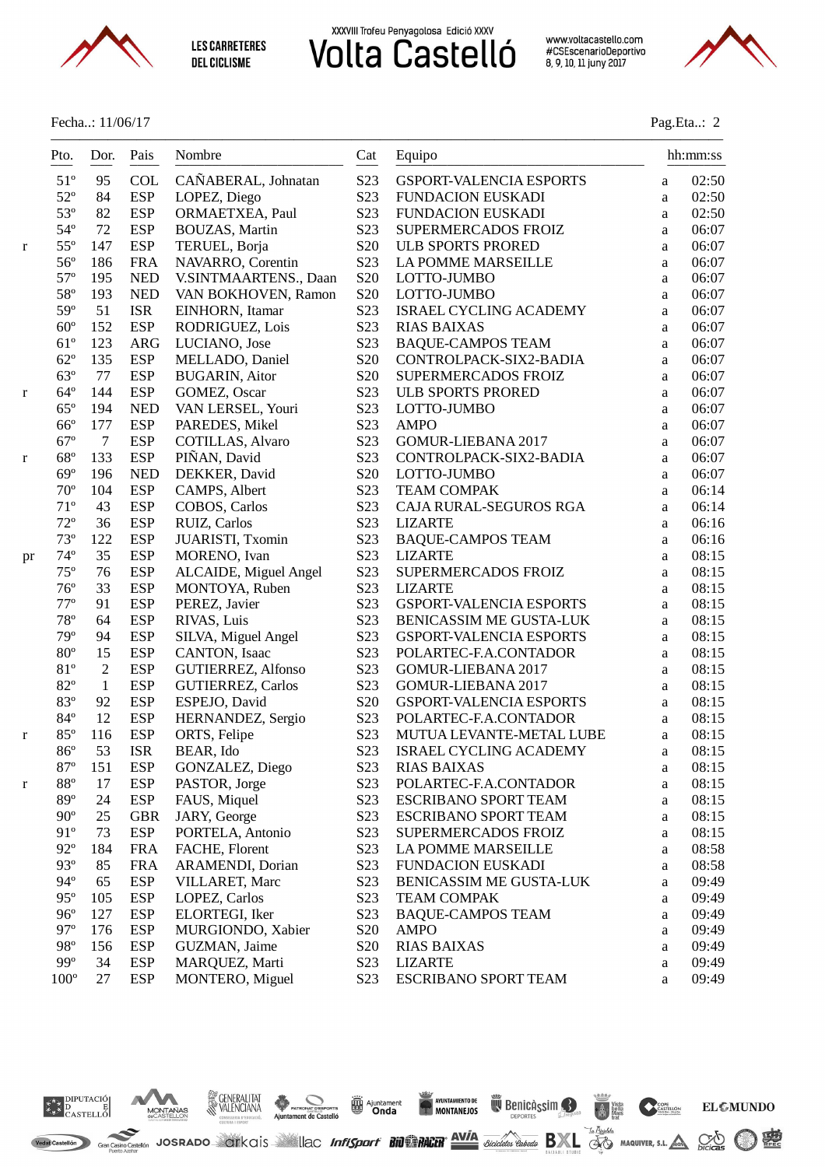



www.voltacastello.com<br>#CSEscenarioDeportivo<br>8, 9, 10, 11 juny 2017



Fecha..: 11/06/17 Pag.Eta..: 2

|    | Pto.<br>$- - -$ | Dor.<br>$- - -$ | Pais<br>$- - - -$ | Nombre                    | Cat              | Equipo                         |                              | hh:mm:ss |
|----|-----------------|-----------------|-------------------|---------------------------|------------------|--------------------------------|------------------------------|----------|
|    | $51^{\circ}$    | 95              | <b>COL</b>        | CAÑABERAL, Johnatan       | S23              | <b>GSPORT-VALENCIA ESPORTS</b> | a                            | 02:50    |
|    | $52^{\circ}$    | 84              | <b>ESP</b>        | LOPEZ, Diego              | S23              | <b>FUNDACION EUSKADI</b>       | a                            | 02:50    |
|    | $53^{\circ}$    | 82              | <b>ESP</b>        | ORMAETXEA, Paul           | S <sub>23</sub>  | <b>FUNDACION EUSKADI</b>       | a                            | 02:50    |
|    | $54^{\circ}$    | 72              | <b>ESP</b>        | BOUZAS, Martin            | S <sub>2</sub> 3 | SUPERMERCADOS FROIZ            | a                            | 06:07    |
| r  | $55^{\circ}$    | 147             | <b>ESP</b>        | TERUEL, Borja             | S <sub>20</sub>  | <b>ULB SPORTS PRORED</b>       | $\rm{a}$                     | 06:07    |
|    | $56^{\circ}$    | 186             | <b>FRA</b>        | NAVARRO, Corentin         | S23              | <b>LA POMME MARSEILLE</b>      | $\rm{a}$                     | 06:07    |
|    | $57^{\circ}$    | 195             | <b>NED</b>        | V.SINTMAARTENS., Daan     | S <sub>20</sub>  | LOTTO-JUMBO                    | a                            | 06:07    |
|    | $58^{\circ}$    | 193             | <b>NED</b>        | VAN BOKHOVEN, Ramon       | S <sub>20</sub>  | LOTTO-JUMBO                    | $\rm{a}$                     | 06:07    |
|    | $59^\circ$      | 51              | <b>ISR</b>        | EINHORN, Itamar           | S <sub>23</sub>  | ISRAEL CYCLING ACADEMY         | a                            | 06:07    |
|    | $60^{\circ}$    | 152             | <b>ESP</b>        | RODRIGUEZ, Lois           | S <sub>23</sub>  | <b>RIAS BAIXAS</b>             | $\mathbf{a}$                 | 06:07    |
|    | $61^{\circ}$    | 123             | <b>ARG</b>        | LUCIANO, Jose             | S <sub>2</sub> 3 | <b>BAQUE-CAMPOS TEAM</b>       | $\mathbf{a}$                 | 06:07    |
|    | $62^{\circ}$    | 135             | <b>ESP</b>        | MELLADO, Daniel           | S <sub>20</sub>  | CONTROLPACK-SIX2-BADIA         | a                            | 06:07    |
|    | $63^\circ$      | 77              | <b>ESP</b>        | <b>BUGARIN, Aitor</b>     | S <sub>20</sub>  | SUPERMERCADOS FROIZ            | a                            | 06:07    |
| r  | $64^{\circ}$    | 144             | <b>ESP</b>        | GOMEZ, Oscar              | S23              | <b>ULB SPORTS PRORED</b>       | a                            | 06:07    |
|    | $65^{\circ}$    | 194             | <b>NED</b>        | VAN LERSEL, Youri         | S23              | LOTTO-JUMBO                    | $\mathbf{a}$                 | 06:07    |
|    | $66^{\circ}$    | 177             | <b>ESP</b>        | PAREDES, Mikel            | S23              | <b>AMPO</b>                    | a                            | 06:07    |
|    | $67^\circ$      | $\overline{7}$  | <b>ESP</b>        | <b>COTILLAS, Alvaro</b>   | S23              | GOMUR-LIEBANA 2017             | $\rm{a}$                     | 06:07    |
| r  | $68^{\circ}$    | 133             | <b>ESP</b>        | PIÑAN, David              | S <sub>23</sub>  | CONTROLPACK-SIX2-BADIA         | $\rm{a}$                     | 06:07    |
|    | $69^\circ$      | 196             | <b>NED</b>        | DEKKER, David             | S <sub>20</sub>  | LOTTO-JUMBO                    | a                            | 06:07    |
|    | $70^{\circ}$    | 104             | <b>ESP</b>        | CAMPS, Albert             | S <sub>23</sub>  | <b>TEAM COMPAK</b>             | a                            | 06:14    |
|    | $71^{\circ}$    | 43              | <b>ESP</b>        | COBOS, Carlos             | S <sub>23</sub>  | CAJA RURAL-SEGUROS RGA         | $\mathbf{a}$                 | 06:14    |
|    | $72^{\circ}$    | 36              | <b>ESP</b>        | RUIZ, Carlos              | S <sub>23</sub>  | <b>LIZARTE</b>                 | $\mathbf{a}$                 | 06:16    |
|    | $73^{\circ}$    | 122             | <b>ESP</b>        | JUARISTI, Txomin          | S <sub>23</sub>  | <b>BAQUE-CAMPOS TEAM</b>       | $\mathbf{a}$                 | 06:16    |
| pr | $74^{\circ}$    | 35              | <b>ESP</b>        | MORENO, Ivan              | S <sub>23</sub>  | <b>LIZARTE</b>                 | $\mathbf{a}$                 | 08:15    |
|    | $75^{\circ}$    | 76              | <b>ESP</b>        | ALCAIDE, Miguel Angel     | S23              | SUPERMERCADOS FROIZ            | $\mathbf{a}$                 | 08:15    |
|    | $76^{\circ}$    | 33              | <b>ESP</b>        | MONTOYA, Ruben            | S23              | <b>LIZARTE</b>                 | a                            | 08:15    |
|    | $77^{\circ}$    | 91              | <b>ESP</b>        | PEREZ, Javier             | S <sub>23</sub>  | <b>GSPORT-VALENCIA ESPORTS</b> | $\mathbf{a}$                 | 08:15    |
|    | $78^{\circ}$    | 64              | <b>ESP</b>        | RIVAS, Luis               | S23              | BENICASSIM ME GUSTA-LUK        | $\rm{a}$                     | 08:15    |
|    | 79°             | 94              | <b>ESP</b>        | SILVA, Miguel Angel       | S <sub>2</sub> 3 | GSPORT-VALENCIA ESPORTS        | $\rm{a}$                     | 08:15    |
|    | $80^{\circ}$    | 15              | <b>ESP</b>        | CANTON, Isaac             | S23              | POLARTEC-F.A.CONTADOR          | $\rm{a}$                     | 08:15    |
|    | 81°             | $\overline{2}$  | <b>ESP</b>        | <b>GUTIERREZ, Alfonso</b> | S23              | GOMUR-LIEBANA 2017             |                              | 08:15    |
|    | $82^{\circ}$    | $\mathbf{1}$    | <b>ESP</b>        | <b>GUTIERREZ, Carlos</b>  | S <sub>2</sub> 3 | <b>GOMUR-LIEBANA 2017</b>      | $\rm{a}$<br>$\mathbf{a}$     | 08:15    |
|    | 83°             | 92              | <b>ESP</b>        | ESPEJO, David             | S <sub>20</sub>  | GSPORT-VALENCIA ESPORTS        |                              | 08:15    |
|    | $84^{\circ}$    | 12              | <b>ESP</b>        | HERNANDEZ, Sergio         | S <sub>2</sub> 3 | POLARTEC-F.A.CONTADOR          | $\rm{a}$                     | 08:15    |
|    | $85^{\circ}$    | 116             | <b>ESP</b>        | ORTS, Felipe              | S <sub>2</sub> 3 | MUTUA LEVANTE-METAL LUBE       | $\mathbf{a}$<br>$\mathbf{a}$ | 08:15    |
| r  | $86^{\circ}$    | 53              | <b>ISR</b>        | BEAR, Ido                 | S <sub>2</sub> 3 |                                |                              | 08:15    |
|    | $87^\circ$      |                 |                   |                           |                  | <b>ISRAEL CYCLING ACADEMY</b>  | a                            |          |
|    |                 | 151             | <b>ESP</b>        | GONZALEZ, Diego           | S23              | <b>RIAS BAIXAS</b>             | a                            | 08:15    |
| r  | $88^{\rm o}$    | 17              | <b>ESP</b>        | PASTOR, Jorge             | S <sub>2</sub> 3 | POLARTEC-F.A.CONTADOR          | a                            | 08:15    |
|    | 89°             | 24              | <b>ESP</b>        | FAUS, Miquel              | S <sub>2</sub> 3 | <b>ESCRIBANO SPORT TEAM</b>    | a                            | 08:15    |
|    | $90^{\circ}$    | 25              | <b>GBR</b>        | JARY, George              | S <sub>2</sub> 3 | <b>ESCRIBANO SPORT TEAM</b>    | a                            | 08:15    |
|    | $91^{\circ}$    | 73              | <b>ESP</b>        | PORTELA, Antonio          | S <sub>2</sub> 3 | SUPERMERCADOS FROIZ            | $\rm{a}$                     | 08:15    |
|    | $92^{\circ}$    | 184             | <b>FRA</b>        | FACHE, Florent            | S <sub>2</sub> 3 | LA POMME MARSEILLE             | $\rm{a}$                     | 08:58    |
|    | $93^{\circ}$    | 85              | <b>FRA</b>        | ARAMENDI, Dorian          | S <sub>23</sub>  | <b>FUNDACION EUSKADI</b>       | $\rm{a}$                     | 08:58    |
|    | $94^{\circ}$    | 65              | <b>ESP</b>        | <b>VILLARET, Marc</b>     | S <sub>2</sub> 3 | BENICASSIM ME GUSTA-LUK        | a                            | 09:49    |
|    | $95^\circ$      | 105             | <b>ESP</b>        | LOPEZ, Carlos             | S <sub>2</sub> 3 | <b>TEAM COMPAK</b>             | $\rm{a}$                     | 09:49    |
|    | $96^{\circ}$    | 127             | <b>ESP</b>        | ELORTEGI, Iker            | S <sub>2</sub> 3 | <b>BAQUE-CAMPOS TEAM</b>       | a                            | 09:49    |
|    | $97^{\circ}$    | 176             | <b>ESP</b>        | MURGIONDO, Xabier         | S <sub>20</sub>  | <b>AMPO</b>                    | $\rm{a}$                     | 09:49    |
|    | $98^{\circ}$    | 156             | <b>ESP</b>        | GUZMAN, Jaime             | S <sub>20</sub>  | <b>RIAS BAIXAS</b>             | $\rm{a}$                     | 09:49    |
|    | 99°             | 34              | <b>ESP</b>        | MARQUEZ, Marti            | S <sub>2</sub> 3 | <b>LIZARTE</b>                 | $\rm{a}$                     | 09:49    |
|    | $100^{\circ}$   | 27              | <b>ESP</b>        | MONTERO, Miguel           | S <sub>2</sub> 3 | <b>ESCRIBANO SPORT TEAM</b>    | $\rm{a}$                     | 09:49    |



Vedat Castellón

PATRONAT DESPORTS

Ajuntament

GENERALITAT

MONTANAS

NOUNTAINENTODE NO BENICLÀSSIM DE CONTENUES DE L'EMUNDO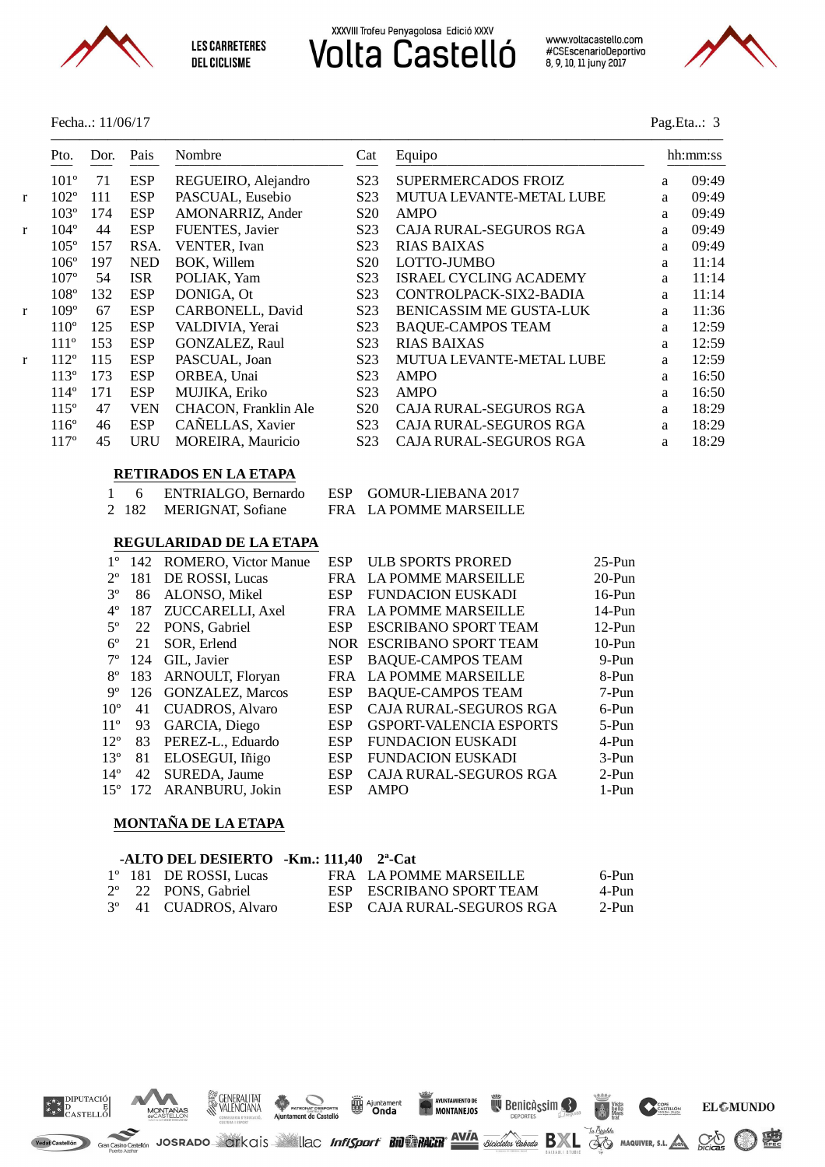

# **Volta Castello**

www.voltacastello.com #CSEscenarioDeportivo<br>8, 9, 10, 11 juny 2017

NUNTAIRMENTORE SUBDICITY BELLEMUNDO



#### Fecha..: 11/06/17 Pag.Eta..: 3

| $101^{\circ}$<br>$102^{\circ}$<br>$103^\circ$<br>$104^{\circ}$<br>$105^{\circ}$<br>$106^\circ$<br>107 <sup>o</sup><br>$108^\circ$<br>$109^\circ$<br>r<br>$110^{\circ}$<br>$111^{\circ}$<br>$112^{\circ}$<br>113 <sup>°</sup><br>114 <sup>°</sup> | 71<br>111 | <b>ESP</b> |                          |                  | Equipo                          |   | hh:mm:ss |
|--------------------------------------------------------------------------------------------------------------------------------------------------------------------------------------------------------------------------------------------------|-----------|------------|--------------------------|------------------|---------------------------------|---|----------|
|                                                                                                                                                                                                                                                  |           |            | REGUEIRO, Alejandro      | S <sub>2</sub> 3 | SUPERMERCADOS FROIZ             | a | 09:49    |
|                                                                                                                                                                                                                                                  |           | <b>ESP</b> | PASCUAL, Eusebio         | S <sub>2</sub> 3 | <b>MUTUA LEVANTE-METAL LUBE</b> | a | 09:49    |
|                                                                                                                                                                                                                                                  | 174       | <b>ESP</b> | AMONARRIZ, Ander         | S <sub>20</sub>  | <b>AMPO</b>                     | a | 09:49    |
|                                                                                                                                                                                                                                                  | 44        | <b>ESP</b> | FUENTES, Javier          | S <sub>2</sub> 3 | <b>CAJA RURAL-SEGUROS RGA</b>   | a | 09:49    |
|                                                                                                                                                                                                                                                  | 157       | RSA.       | VENTER, Ivan             | S <sub>2</sub> 3 | <b>RIAS BAIXAS</b>              | a | 09:49    |
|                                                                                                                                                                                                                                                  | 197       | <b>NED</b> | BOK, Willem              | S <sub>20</sub>  | LOTTO-JUMBO                     | a | 11:14    |
|                                                                                                                                                                                                                                                  | 54        | <b>ISR</b> | POLIAK. Yam              | S <sub>2</sub> 3 | <b>ISRAEL CYCLING ACADEMY</b>   | a | 11:14    |
|                                                                                                                                                                                                                                                  | 132       | <b>ESP</b> | DONIGA, Ot               | S <sub>2</sub> 3 | CONTROLPACK-SIX2-BADIA          | a | 11:14    |
|                                                                                                                                                                                                                                                  | 67        | <b>ESP</b> | CARBONELL, David         | S <sub>2</sub> 3 | <b>BENICASSIM ME GUSTA-LUK</b>  | a | 11:36    |
|                                                                                                                                                                                                                                                  | 125       | <b>ESP</b> | VALDIVIA, Yerai          | S <sub>2</sub> 3 | <b>BAQUE-CAMPOS TEAM</b>        | a | 12:59    |
|                                                                                                                                                                                                                                                  | 153       | <b>ESP</b> | <b>GONZALEZ, Raul</b>    | S <sub>2</sub> 3 | <b>RIAS BAIXAS</b>              | a | 12:59    |
|                                                                                                                                                                                                                                                  | 115       | <b>ESP</b> | PASCUAL, Joan            | S <sub>2</sub> 3 | MUTUA LEVANTE-METAL LUBE        | a | 12:59    |
|                                                                                                                                                                                                                                                  | 173       | <b>ESP</b> | ORBEA, Unai              | S <sub>2</sub> 3 | <b>AMPO</b>                     | a | 16:50    |
|                                                                                                                                                                                                                                                  | 171       | <b>ESP</b> | MUJIKA, Eriko            | S <sub>2</sub> 3 | <b>AMPO</b>                     | a | 16:50    |
| $115^{\circ}$                                                                                                                                                                                                                                    | 47        | <b>VEN</b> | CHACON, Franklin Ale     | S <sub>20</sub>  | CAJA RURAL-SEGUROS RGA          | a | 18:29    |
| $116^\circ$                                                                                                                                                                                                                                      | 46        | <b>ESP</b> | CAÑELLAS, Xavier         | S <sub>2</sub> 3 | CAJA RURAL-SEGUROS RGA          | a | 18:29    |
| 117 <sup>o</sup>                                                                                                                                                                                                                                 | 45        | URU        | <b>MOREIRA, Mauricio</b> | S <sub>2</sub> 3 | CAJA RURAL-SEGUROS RGA          | a | 18:29    |

#### **RETIRADOS EN LA ETAPA**

|  | 1 6 ENTRIALGO, Bernardo | ESP GOMUR-LIEBANA 2017 |
|--|-------------------------|------------------------|
|  | 2 182 MERIGNAT, Sofiane | FRA LA POMME MARSEILLE |

#### **REGULARIDAD DE LA ETAPA**

|                 |     | 1º 142 ROMERO, Victor Manue | <b>ESP</b> | <b>ULB SPORTS PRORED</b>       | $25-Pun$  |
|-----------------|-----|-----------------------------|------------|--------------------------------|-----------|
| $2^{\circ}$     | 181 | DE ROSSI, Lucas             |            | FRA LA POMME MARSEILLE         | $20-Pun$  |
| $3^{\circ}$     | 86  | ALONSO, Mikel               | ESP.       | <b>FUNDACION EUSKADI</b>       | $16$ -Pun |
| $4^{\circ}$     | 187 | ZUCCARELLI, Axel            |            | FRA LA POMME MARSEILLE         | 14-Pun    |
| $5^{\circ}$     | 22  | PONS, Gabriel               | <b>ESP</b> | <b>ESCRIBANO SPORT TEAM</b>    | $12-Pun$  |
| $6^{\circ}$     | 21  | SOR, Erlend                 |            | NOR ESCRIBANO SPORT TEAM       | $10-Pun$  |
| $7^{\circ}$     |     | 124 GIL, Javier             | ESP.       | <b>BAQUE-CAMPOS TEAM</b>       | 9-Pun     |
| $8^{\circ}$     |     | 183 ARNOULT, Floryan        |            | FRA LA POMME MARSEILLE         | 8-Pun     |
| $9^{\circ}$     |     | 126 GONZALEZ, Marcos        | <b>ESP</b> | <b>BAQUE-CAMPOS TEAM</b>       | 7-Pun     |
| 10 <sup>o</sup> | 41  | <b>CUADROS, Alvaro</b>      | <b>ESP</b> | <b>CAJA RURAL-SEGUROS RGA</b>  | 6-Pun     |
| $11^{\circ}$    | 93  | GARCIA, Diego               | <b>ESP</b> | <b>GSPORT-VALENCIA ESPORTS</b> | 5-Pun     |
| $12^{\circ}$    | 83  | PEREZ-L., Eduardo           | ESP.       | <b>FUNDACION EUSKADI</b>       | 4-Pun     |
| $13^{\circ}$    | 81  | ELOSEGUI, Iñigo             | <b>ESP</b> | <b>FUNDACION EUSKADI</b>       | 3-Pun     |
| $14^{\circ}$    | 42  | SUREDA, Jaume               | <b>ESP</b> | CAJA RURAL-SEGUROS RGA         | $2-Pun$   |
| $15^{\circ}$    |     | 172 ARANBURU, Jokin         | <b>ESP</b> | <b>AMPO</b>                    | 1-Pun     |
|                 |     |                             |            |                                |           |

## **MONTAÑA DE LA ETAPA**

### **-ALTO DEL DESIERTO -Km.: 111,40 2ª-Cat**

GENERALITAT

MONTANAS

|  | 1° 181 DE ROSSI, Lucas            | FRA LA POMME MARSEILLE     | 6-Pun   |
|--|-----------------------------------|----------------------------|---------|
|  | 2° 22 PONS, Gabriel               | ESP ESCRIBANO SPORT TEAM   | $4-Pun$ |
|  | 3 <sup>°</sup> 41 CUADROS, Alvaro | ESP CAJA RURAL-SEGUROS RGA | $2-Pun$ |

Ajuntament

PATRONAT DESPORTS<br>Ajuntament de Castelló



Vedat Castellón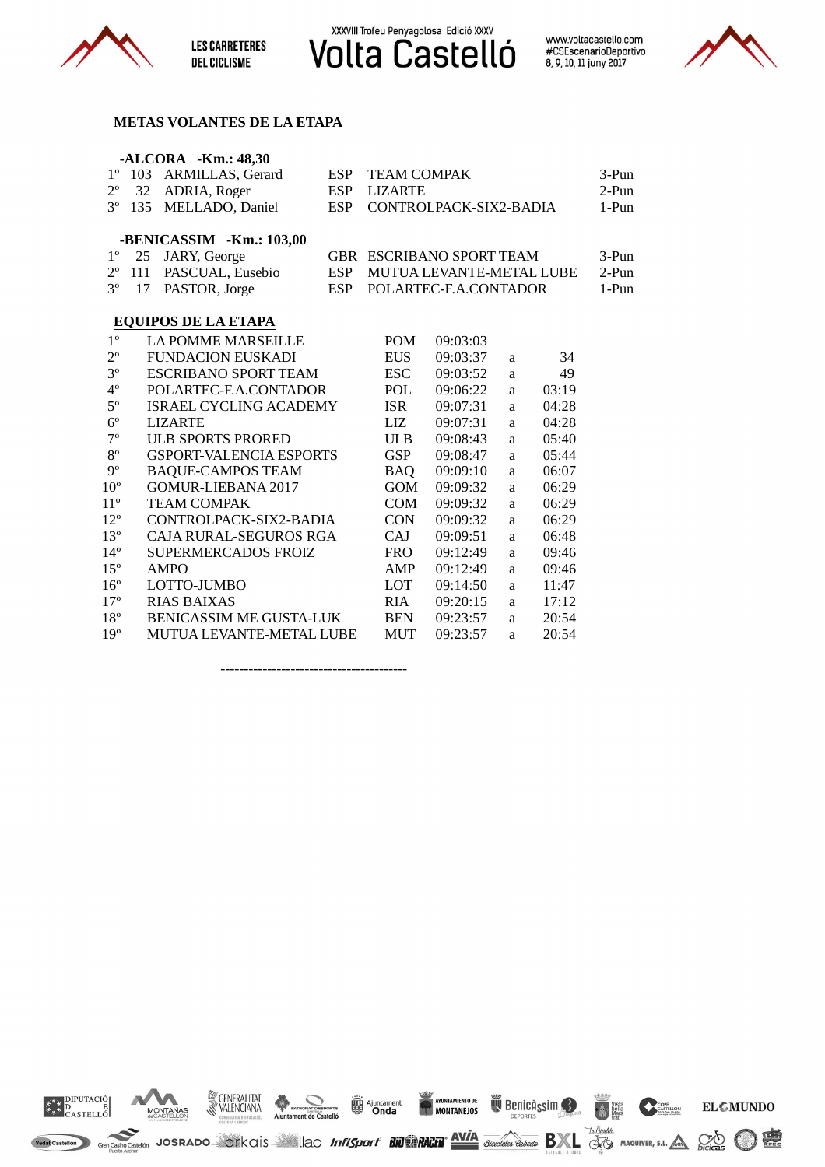

**Volta Castello** 

www.voltacastello.com<br>#CSEscenarioDeportivo<br>8, 9, 10, 11 juny 2017



#### **METAS VOLANTES DE LA ETAPA**

|                 |     | -ALCORA -Km.: 48,30             |            |                    |                             |   |       |         |
|-----------------|-----|---------------------------------|------------|--------------------|-----------------------------|---|-------|---------|
| $1^{\circ}$     | 103 | ARMILLAS, Gerard                | <b>ESP</b> | <b>TEAM COMPAK</b> |                             |   |       | $3-Pun$ |
| $2^{\circ}$     | 32  | ADRIA, Roger                    | <b>ESP</b> | <b>LIZARTE</b>     |                             |   |       | $2-Pun$ |
| 3 <sup>o</sup>  | 135 | MELLADO, Daniel                 | <b>ESP</b> |                    | CONTROLPACK-SIX2-BADIA      |   |       | $1-Pun$ |
|                 |     |                                 |            |                    |                             |   |       |         |
|                 |     | -BENICASSIM -Km.: 103,00        |            |                    |                             |   |       |         |
| $1^{\circ}$     | 25  | JARY, George                    | <b>GBR</b> |                    | <b>ESCRIBANO SPORT TEAM</b> |   |       | $3-Pun$ |
| $2^{\circ}$     | 111 | PASCUAL, Eusebio                | <b>ESP</b> |                    | MUTUA LEVANTE-METAL LUBE    |   |       | $2-Pun$ |
| $3^{\circ}$     | 17  | PASTOR, Jorge                   | <b>ESP</b> |                    | POLARTEC-F.A.CONTADOR       |   |       | $1-Pun$ |
|                 |     |                                 |            |                    |                             |   |       |         |
|                 |     | <b>EQUIPOS DE LA ETAPA</b>      |            |                    |                             |   |       |         |
| $1^{\circ}$     |     | <b>LA POMME MARSEILLE</b>       |            | <b>POM</b>         | 09:03:03                    |   |       |         |
| $2^{\circ}$     |     | <b>FUNDACION EUSKADI</b>        |            | <b>EUS</b>         | 09:03:37                    | a | 34    |         |
| $3^{\circ}$     |     | <b>ESCRIBANO SPORT TEAM</b>     |            | <b>ESC</b>         | 09:03:52                    | a | 49    |         |
| $4^{\circ}$     |     | POLARTEC-F.A.CONTADOR           |            | <b>POL</b>         | 09:06:22                    | a | 03:19 |         |
| $5^{\circ}$     |     | <b>ISRAEL CYCLING ACADEMY</b>   |            | <b>ISR</b>         | 09:07:31                    | a | 04:28 |         |
| $6^{\circ}$     |     | <b>LIZARTE</b>                  |            | LIZ                | 09:07:31                    | a | 04:28 |         |
| $7^{\circ}$     |     | <b>ULB SPORTS PRORED</b>        |            | <b>ULB</b>         | 09:08:43                    | a | 05:40 |         |
| $8^{\circ}$     |     | <b>GSPORT-VALENCIA ESPORTS</b>  |            | <b>GSP</b>         | 09:08:47                    | a | 05:44 |         |
| $9^{\circ}$     |     | <b>BAQUE-CAMPOS TEAM</b>        |            | <b>BAQ</b>         | 09:09:10                    | a | 06:07 |         |
| $10^{\circ}$    |     | <b>GOMUR-LIEBANA 2017</b>       |            | <b>GOM</b>         | 09:09:32                    | a | 06:29 |         |
| $11^{\circ}$    |     | <b>TEAM COMPAK</b>              |            | <b>COM</b>         | 09:09:32                    | a | 06:29 |         |
| $12^{\circ}$    |     | CONTROLPACK-SIX2-BADIA          |            | <b>CON</b>         | 09:09:32                    | a | 06:29 |         |
| $13^{\circ}$    |     | CAJA RURAL-SEGUROS RGA          |            | CAJ                | 09:09:51                    | a | 06:48 |         |
| $14^{\circ}$    |     | <b>SUPERMERCADOS FROIZ</b>      |            | <b>FRO</b>         | 09:12:49                    | a | 09:46 |         |
| $15^{\circ}$    |     | <b>AMPO</b>                     |            | AMP                | 09:12:49                    | a | 09:46 |         |
| $16^{\circ}$    |     | LOTTO-JUMBO                     |            | <b>LOT</b>         | 09:14:50                    | a | 11:47 |         |
| 17 <sup>°</sup> |     | <b>RIAS BAIXAS</b>              |            | <b>RIA</b>         | 09:20:15                    | a | 17:12 |         |
| $18^{\circ}$    |     | <b>BENICASSIM ME GUSTA-LUK</b>  |            | <b>BEN</b>         | 09:23:57                    | a | 20:54 |         |
| 19 <sup>°</sup> |     | <b>MUTUA LEVANTE-METAL LUBE</b> |            | <b>MUT</b>         | 09:23:57                    | a | 20:54 |         |

----------------------------------------

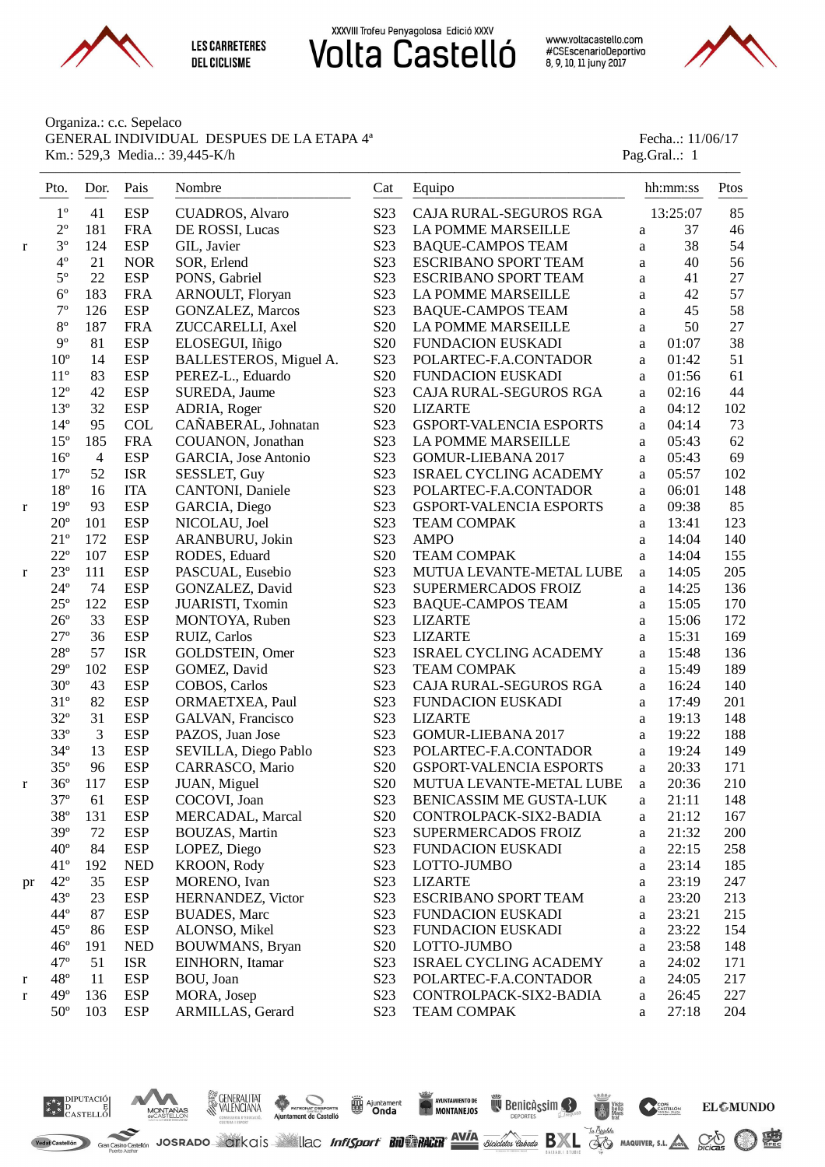

 $\begin{bmatrix} \hat{\xi}^{\hat{n}} \\ \hat{\xi}^{\hat{n}} \\ \end{bmatrix} \begin{bmatrix} \text{DIPUTACI0} \\ \text{D} \\ \text{CASTELLO} \end{bmatrix}$ 

Vedat Castellón

GENERALITAT

MONTANAS

**LES CARRETERES** DEL CICLISME

**Volta Castello** 

www.voltacastello.com #CSEscenarioDeportivo 8, 9, 10, 11 juny 2017



Organiza.: c.c. Sepelaco GENERAL INDIVIDUAL DESPUES DE LA ETAPA 4<sup>ª</sup> Fecha..: 11/06/17 Km.: 529,3 Media..: 39,445-K/h Pag.Gral..: 1

|    | Pto.            | Dor.<br>.      | Pais<br>$- - - -$ | Nombre                  | Cat              | Equipo                         |              | hh:mm:ss | Ptos       |
|----|-----------------|----------------|-------------------|-------------------------|------------------|--------------------------------|--------------|----------|------------|
|    | $1^{\circ}$     | 41             | <b>ESP</b>        | <b>CUADROS, Alvaro</b>  | S <sub>23</sub>  | CAJA RURAL-SEGUROS RGA         |              | 13:25:07 | 85         |
|    | $2^{\circ}$     | 181            | <b>FRA</b>        | DE ROSSI, Lucas         | S <sub>23</sub>  | LA POMME MARSEILLE             | a            | 37       | 46         |
|    | $3^{\circ}$     | 124            | <b>ESP</b>        | GIL, Javier             | S <sub>23</sub>  | <b>BAQUE-CAMPOS TEAM</b>       | $\mathbf{a}$ | 38       | 54         |
|    | $4^{\circ}$     | 21             | <b>NOR</b>        | SOR, Erlend             | S <sub>23</sub>  | ESCRIBANO SPORT TEAM           | a            | 40       | 56         |
|    | $5^{\circ}$     | 22             | <b>ESP</b>        | PONS, Gabriel           | S <sub>23</sub>  | ESCRIBANO SPORT TEAM           | $\rm{a}$     | 41       | 27         |
|    | $6^{\circ}$     | 183            | <b>FRA</b>        | ARNOULT, Floryan        | S <sub>23</sub>  | LA POMME MARSEILLE             | a            | 42       | 57         |
|    | $7^{\circ}$     | 126            | <b>ESP</b>        | <b>GONZALEZ, Marcos</b> | S <sub>23</sub>  | <b>BAQUE-CAMPOS TEAM</b>       | a            | 45       | 58         |
|    | $8^{\rm o}$     | 187            | <b>FRA</b>        | ZUCCARELLI, Axel        | S <sub>20</sub>  | LA POMME MARSEILLE             | a            | 50       | 27         |
|    | $9^{\circ}$     | 81             | <b>ESP</b>        | ELOSEGUI, Iñigo         | S <sub>20</sub>  | <b>FUNDACION EUSKADI</b>       | a            | 01:07    | 38         |
|    | $10^{\circ}$    | 14             | <b>ESP</b>        | BALLESTEROS, Miguel A.  | S <sub>23</sub>  | POLARTEC-F.A.CONTADOR          | a            | 01:42    | 51         |
|    | $11^{\circ}$    | 83             | <b>ESP</b>        | PEREZ-L., Eduardo       | S <sub>20</sub>  | <b>FUNDACION EUSKADI</b>       | a            | 01:56    | 61         |
|    | $12^{\circ}$    | 42             | <b>ESP</b>        | SUREDA, Jaume           | S <sub>23</sub>  | CAJA RURAL-SEGUROS RGA         | a            | 02:16    | 44         |
|    | $13^{\circ}$    | 32             | <b>ESP</b>        | ADRIA, Roger            | S <sub>20</sub>  | <b>LIZARTE</b>                 | a            | 04:12    | 102        |
|    | $14^{\circ}$    | 95             | <b>COL</b>        | CAÑABERAL, Johnatan     | S <sub>23</sub>  | GSPORT-VALENCIA ESPORTS        | a            | 04:14    | 73         |
|    | $15^{\circ}$    | 185            | <b>FRA</b>        | COUANON, Jonathan       | S <sub>23</sub>  | LA POMME MARSEILLE             | a            | 05:43    | 62         |
|    | $16^{\circ}$    | $\overline{4}$ | <b>ESP</b>        | GARCIA, Jose Antonio    | S23              | GOMUR-LIEBANA 2017             | a            | 05:43    | 69         |
|    | $17^{\circ}$    | 52             | <b>ISR</b>        | SESSLET, Guy            | S <sub>23</sub>  | ISRAEL CYCLING ACADEMY         | a            | 05:57    | 102        |
|    | $18^{\circ}$    | 16             | <b>ITA</b>        | CANTONI, Daniele        | S <sub>23</sub>  | POLARTEC-F.A.CONTADOR          | a            | 06:01    | 148        |
|    | 19 <sup>°</sup> | 93             | <b>ESP</b>        | GARCIA, Diego           | S <sub>23</sub>  | <b>GSPORT-VALENCIA ESPORTS</b> | a            | 09:38    | 85         |
|    | $20^{\circ}$    | 101            | <b>ESP</b>        | NICOLAU, Joel           | S <sub>23</sub>  | <b>TEAM COMPAK</b>             | a            | 13:41    | 123        |
|    | $21^{\circ}$    | 172            | <b>ESP</b>        | ARANBURU, Jokin         | S <sub>23</sub>  | <b>AMPO</b>                    | a            | 14:04    | 140        |
|    | $22^{\circ}$    | 107            | <b>ESP</b>        | RODES, Eduard           | S <sub>20</sub>  | TEAM COMPAK                    | a            | 14:04    | 155        |
|    | $23^{\circ}$    | 111            | <b>ESP</b>        | PASCUAL, Eusebio        | S <sub>23</sub>  | MUTUA LEVANTE-METAL LUBE       | a            | 14:05    | 205        |
|    | $24^{\circ}$    | 74             | <b>ESP</b>        | GONZALEZ, David         | S <sub>23</sub>  | SUPERMERCADOS FROIZ            | $\mathbf{a}$ | 14:25    | 136        |
|    | $25^{\circ}$    | 122            | <b>ESP</b>        | JUARISTI, Txomin        | S <sub>23</sub>  | <b>BAQUE-CAMPOS TEAM</b>       | a            | 15:05    | 170        |
|    | $26^{\circ}$    | 33             | <b>ESP</b>        | MONTOYA, Ruben          | S <sub>23</sub>  | <b>LIZARTE</b>                 | a            | 15:06    | 172        |
|    | $27^{\circ}$    | 36             | <b>ESP</b>        | RUIZ, Carlos            | S <sub>23</sub>  | <b>LIZARTE</b>                 | a            | 15:31    | 169        |
|    | $28^{\circ}$    | 57             | <b>ISR</b>        | GOLDSTEIN, Omer         | S <sub>23</sub>  | ISRAEL CYCLING ACADEMY         | a            | 15:48    | 136        |
|    | $29^{\circ}$    | 102            | <b>ESP</b>        | GOMEZ, David            | S <sub>23</sub>  | <b>TEAM COMPAK</b>             | a            | 15:49    | 189        |
|    | $30^{\circ}$    | 43             | <b>ESP</b>        | COBOS, Carlos           | S <sub>23</sub>  | CAJA RURAL-SEGUROS RGA         | a            | 16:24    | 140        |
|    | $31^{\circ}$    | 82             | <b>ESP</b>        | ORMAETXEA, Paul         | S <sub>23</sub>  | <b>FUNDACION EUSKADI</b>       | a            | 17:49    | 201        |
|    | $32^{\circ}$    | 31             | <b>ESP</b>        | GALVAN, Francisco       | S <sub>2</sub> 3 | <b>LIZARTE</b>                 | a            | 19:13    | 148        |
|    | $33^{\circ}$    | $\mathfrak{Z}$ | <b>ESP</b>        | PAZOS, Juan Jose        | S <sub>23</sub>  | <b>GOMUR-LIEBANA 2017</b>      | a            | 19:22    | 188        |
|    | $34^{\circ}$    | 13             | <b>ESP</b>        | SEVILLA, Diego Pablo    | S <sub>23</sub>  | POLARTEC-F.A.CONTADOR          | a            | 19:24    | 149        |
|    | $35^{\circ}$    | 96             | <b>ESP</b>        | CARRASCO, Mario         | S <sub>20</sub>  | GSPORT-VALENCIA ESPORTS        | $\rm{a}$     | 20:33    | 171        |
|    | $36^{\circ}$    | 117            | <b>ESP</b>        | JUAN, Miguel            | S <sub>20</sub>  | MUTUA LEVANTE-METAL LUBE       | a            | 20:36    | 210        |
|    | $37^{\circ}$    | 61             | <b>ESP</b>        | COCOVI, Joan            | S23              | BENICASSIM ME GUSTA-LUK        | a            | 21:11    | 148        |
|    | $38^{\circ}$    | 131            | <b>ESP</b>        | MERCADAL, Marcal        | S <sub>20</sub>  | CONTROLPACK-SIX2-BADIA         | a            | 21:12    | 167        |
|    | 39°             | 72             | <b>ESP</b>        | <b>BOUZAS</b> , Martin  | S23              | SUPERMERCADOS FROIZ            | a            | 21:32    | 200        |
|    | $40^{\circ}$    | 84             | <b>ESP</b>        | LOPEZ, Diego            | S23              | <b>FUNDACION EUSKADI</b>       |              | 22:15    | 258        |
|    | $41^{\circ}$    | 192            | <b>NED</b>        | KROON, Rody             | S23              | LOTTO-JUMBO                    | a            | 23:14    | 185        |
|    | $42^{\circ}$    | 35             | <b>ESP</b>        | MORENO, Ivan            | S23              | <b>LIZARTE</b>                 | a            | 23:19    | 247        |
| pr | $43^{\circ}$    | 23             | <b>ESP</b>        | HERNANDEZ, Victor       | S <sub>23</sub>  | <b>ESCRIBANO SPORT TEAM</b>    | a            | 23:20    |            |
|    | $44^{\circ}$    | 87             | <b>ESP</b>        | <b>BUADES</b> , Marc    | S <sub>23</sub>  | <b>FUNDACION EUSKADI</b>       | a            | 23:21    | 213<br>215 |
|    | $45^{\circ}$    |                |                   |                         |                  |                                | a            | 23:22    |            |
|    |                 | 86             | <b>ESP</b>        | ALONSO, Mikel           | S <sub>23</sub>  | FUNDACION EUSKADI              | a            |          | 154        |
|    | $46^{\circ}$    | 191            | <b>NED</b>        | BOUWMANS, Bryan         | S <sub>20</sub>  | LOTTO-JUMBO                    | a            | 23:58    | 148        |
|    | $47^{\circ}$    | 51             | <b>ISR</b>        | EINHORN, Itamar         | S <sub>23</sub>  | ISRAEL CYCLING ACADEMY         | $\rm{a}$     | 24:02    | 171        |
|    | $48^{\circ}$    | 11             | <b>ESP</b>        | BOU, Joan               | S <sub>23</sub>  | POLARTEC-F.A.CONTADOR          | $\rm{a}$     | 24:05    | 217        |
|    | $49^\circ$      | 136            | <b>ESP</b>        | MORA, Josep             | S <sub>2</sub> 3 | CONTROLPACK-SIX2-BADIA         | a            | 26:45    | 227        |
|    | $50^{\circ}$    | 103            | <b>ESP</b>        | ARMILLAS, Gerard        | S <sub>23</sub>  | <b>TEAM COMPAK</b>             | a            | 27:18    | 204        |
|    |                 |                |                   |                         |                  |                                |              |          |            |

AYUNTAMIENTO DE

**Second JOSRADO CIKCIS** 100 Infision of **Bill the RAL** *BXL* To Book Manuver, s.i. An CO CO

**Benichssim 3** 

Vista Core Contractor

**EL** CMUNDO

Ajuntament

ent de Castelló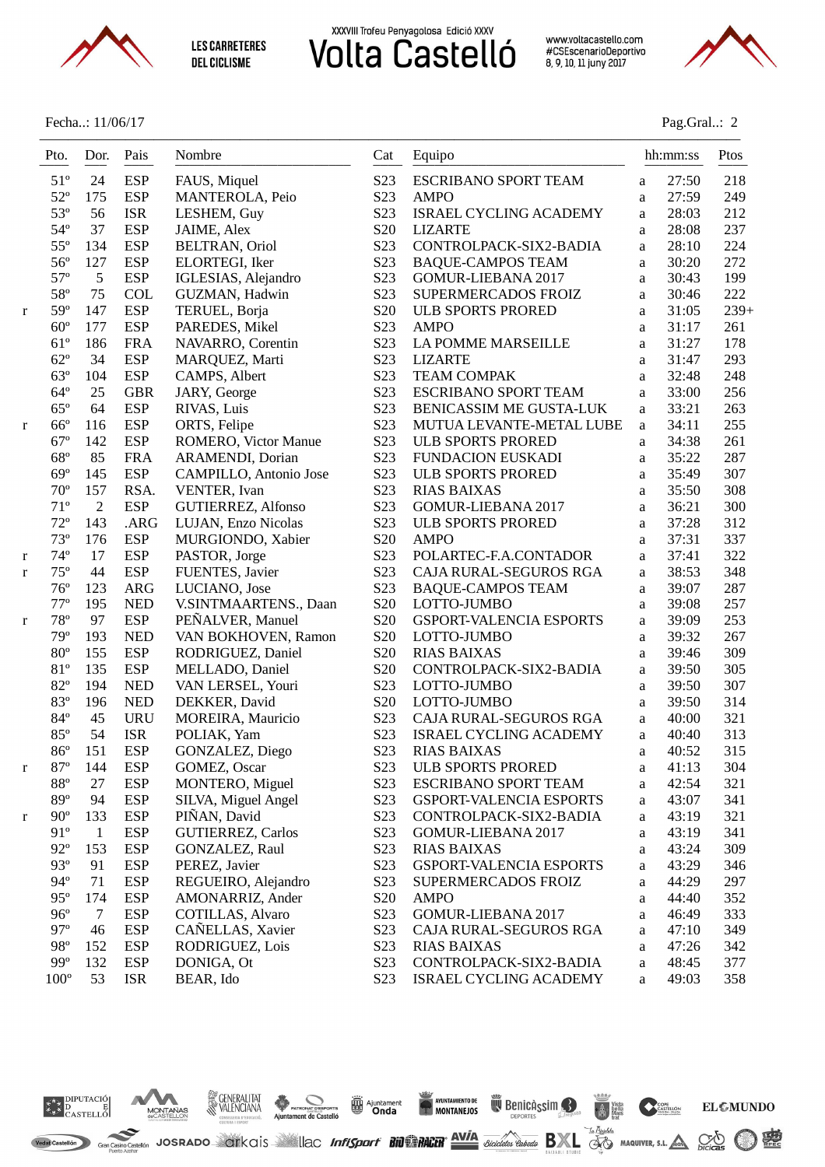



www.voltacastello.com #CSEscenarioDeportivo<br>8, 9, 10, 11 juny 2017

NOUNTAINENTODE NO BENICLÀSSIM DE CONTENUES DE L'EMUNDO

Fecha..: 11/06/17 Pag.Gral..: 2



| Pto.              | Dor.<br>---    | Pais<br>$- - - -$ | Nombre                   | Cat              | Equipo                         |              | hh:mm:ss | Ptos   |
|-------------------|----------------|-------------------|--------------------------|------------------|--------------------------------|--------------|----------|--------|
| $51^{\circ}$      | 24             | <b>ESP</b>        | FAUS, Miquel             | S23              | <b>ESCRIBANO SPORT TEAM</b>    | a            | 27:50    | 218    |
| $52^{\circ}$      | 175            | <b>ESP</b>        | MANTEROLA, Peio          | S23              | <b>AMPO</b>                    | a            | 27:59    | 249    |
| $53^{\circ}$      | 56             | <b>ISR</b>        | LESHEM, Guy              | S23              | <b>ISRAEL CYCLING ACADEMY</b>  | a            | 28:03    | 212    |
| $54^{\circ}$      | 37             | <b>ESP</b>        | JAIME, Alex              | S <sub>20</sub>  | <b>LIZARTE</b>                 | a            | 28:08    | 237    |
| $55^{\circ}$      | 134            | <b>ESP</b>        | BELTRAN, Oriol           | S23              | CONTROLPACK-SIX2-BADIA         | $\mathbf{a}$ | 28:10    | 224    |
| $56^{\circ}$      | 127            | <b>ESP</b>        | ELORTEGI, Iker           | S23              | <b>BAQUE-CAMPOS TEAM</b>       | $\mathbf{a}$ | 30:20    | 272    |
| $57^{\circ}$      | 5              | <b>ESP</b>        | IGLESIAS, Alejandro      | S23              | GOMUR-LIEBANA 2017             | $\mathbf{a}$ | 30:43    | 199    |
| $58^{\circ}$      | 75             | <b>COL</b>        | GUZMAN, Hadwin           | S <sub>2</sub> 3 | SUPERMERCADOS FROIZ            | a            | 30:46    | 222    |
| $59^\circ$<br>r   | 147            | <b>ESP</b>        | TERUEL, Borja            | S <sub>20</sub>  | <b>ULB SPORTS PRORED</b>       | a            | 31:05    | $239+$ |
| $60^{\circ}$      | 177            | <b>ESP</b>        | PAREDES, Mikel           | S23              | <b>AMPO</b>                    | a            | 31:17    | 261    |
| $61^{\circ}$      | 186            | <b>FRA</b>        | NAVARRO, Corentin        | S23              | LA POMME MARSEILLE             | a            | 31:27    | 178    |
| $62^{\circ}$      | 34             | <b>ESP</b>        | MARQUEZ, Marti           | S23              | <b>LIZARTE</b>                 | a            | 31:47    | 293    |
| $63^{\circ}$      | 104            | <b>ESP</b>        | CAMPS, Albert            | S23              | <b>TEAM COMPAK</b>             | a            | 32:48    | 248    |
| $64^{\circ}$      | 25             | <b>GBR</b>        | JARY, George             | S23              | ESCRIBANO SPORT TEAM           | a            | 33:00    | 256    |
| $65^{\circ}$      | 64             | <b>ESP</b>        | RIVAS, Luis              | S23              | BENICASSIM ME GUSTA-LUK        | a            | 33:21    | 263    |
| $66^{\circ}$<br>r | 116            | <b>ESP</b>        | ORTS, Felipe             | S23              | MUTUA LEVANTE-METAL LUBE       | $\rm{a}$     | 34:11    | 255    |
| $67^\circ$        | 142            | <b>ESP</b>        | ROMERO, Victor Manue     | S <sub>23</sub>  | ULB SPORTS PRORED              | $\rm{a}$     | 34:38    | 261    |
| $68^{\circ}$      | 85             | <b>FRA</b>        | ARAMENDI, Dorian         | S23              | FUNDACION EUSKADI              | $\rm{a}$     | 35:22    | 287    |
| $69^\circ$        | 145            | <b>ESP</b>        | CAMPILLO, Antonio Jose   | S23              | ULB SPORTS PRORED              | a            | 35:49    | 307    |
| $70^{\circ}$      | 157            | RSA.              | VENTER, Ivan             | S23              | <b>RIAS BAIXAS</b>             | a            | 35:50    | 308    |
| $71^{\circ}$      | $\overline{2}$ | <b>ESP</b>        | GUTIERREZ, Alfonso       | S23              | GOMUR-LIEBANA 2017             | $\rm{a}$     | 36:21    | 300    |
| $72^{\circ}$      | 143            | .ARG              | LUJAN, Enzo Nicolas      | S23              | ULB SPORTS PRORED              | $\rm{a}$     | 37:28    | 312    |
| $73^{\circ}$      | 176            | <b>ESP</b>        | MURGIONDO, Xabier        | S <sub>20</sub>  | <b>AMPO</b>                    | $\rm{a}$     | 37:31    | 337    |
| $74^{\circ}$<br>r | 17             | <b>ESP</b>        | PASTOR, Jorge            | S23              | POLARTEC-F.A.CONTADOR          | a            | 37:41    | 322    |
| $75^{\circ}$<br>r | 44             | <b>ESP</b>        | FUENTES, Javier          | S23              | CAJA RURAL-SEGUROS RGA         | $\rm{a}$     | 38:53    | 348    |
| $76^{\circ}$      | 123            | <b>ARG</b>        | LUCIANO, Jose            | S23              | <b>BAQUE-CAMPOS TEAM</b>       | a            | 39:07    | 287    |
| $77^{\circ}$      | 195            | <b>NED</b>        | V.SINTMAARTENS., Daan    | S <sub>20</sub>  | LOTTO-JUMBO                    | a            | 39:08    | 257    |
| $78^{\circ}$<br>r | 97             | <b>ESP</b>        | PEÑALVER, Manuel         | S <sub>20</sub>  | <b>GSPORT-VALENCIA ESPORTS</b> | a            | 39:09    | 253    |
| 79°               | 193            | <b>NED</b>        | VAN BOKHOVEN, Ramon      | S <sub>20</sub>  | LOTTO-JUMBO                    | $\rm{a}$     | 39:32    | 267    |
| $80^{\circ}$      | 155            | <b>ESP</b>        | RODRIGUEZ, Daniel        | S <sub>20</sub>  | <b>RIAS BAIXAS</b>             | $\mathbf{a}$ | 39:46    | 309    |
| 81°               | 135            | <b>ESP</b>        | MELLADO, Daniel          | S <sub>20</sub>  | CONTROLPACK-SIX2-BADIA         | $\rm{a}$     | 39:50    | 305    |
| $82^{\circ}$      | 194            | <b>NED</b>        | VAN LERSEL, Youri        | S23              | LOTTO-JUMBO                    | $\rm{a}$     | 39:50    | 307    |
| 83°               | 196            | <b>NED</b>        | DEKKER, David            | S <sub>20</sub>  | LOTTO-JUMBO                    | a            | 39:50    | 314    |
| $84^{\circ}$      | 45             | <b>URU</b>        | MOREIRA, Mauricio        | S23              | CAJA RURAL-SEGUROS RGA         | $\mathbf{a}$ | 40:00    | 321    |
| 85°               | 54             | <b>ISR</b>        | POLIAK, Yam              | S23              | <b>ISRAEL CYCLING ACADEMY</b>  | a            | 40:40    | 313    |
| $86^{\circ}$      | 151            | <b>ESP</b>        | GONZALEZ, Diego          | S <sub>2</sub> 3 | <b>RIAS BAIXAS</b>             |              | 40:52    | 315    |
| 87°               | 144            | <b>ESP</b>        | GOMEZ, Oscar             | S <sub>2</sub> 3 | <b>ULB SPORTS PRORED</b>       | a            | 41:13    | 304    |
| r<br>$88^{\rm o}$ | 27             | <b>ESP</b>        | MONTERO, Miguel          | S <sub>2</sub> 3 | <b>ESCRIBANO SPORT TEAM</b>    | a            | 42:54    | 321    |
| 89°               | 94             | <b>ESP</b>        |                          |                  |                                | a            | 43:07    | 341    |
| $90^\circ$        |                |                   | SILVA, Miguel Angel      | S <sub>2</sub> 3 | <b>GSPORT-VALENCIA ESPORTS</b> | a            | 43:19    |        |
| r                 | 133            | <b>ESP</b>        | PIÑAN, David             | S <sub>2</sub> 3 | CONTROLPACK-SIX2-BADIA         | a            |          | 321    |
| 91°               | $\mathbf{1}$   | <b>ESP</b>        | <b>GUTIERREZ, Carlos</b> | S <sub>2</sub> 3 | GOMUR-LIEBANA 2017             | a            | 43:19    | 341    |
| $92^{\circ}$      | 153            | <b>ESP</b>        | GONZALEZ, Raul           | S <sub>2</sub> 3 | <b>RIAS BAIXAS</b>             | a            | 43:24    | 309    |
| 93°               | 91             | <b>ESP</b>        | PEREZ, Javier            | S <sub>2</sub> 3 | <b>GSPORT-VALENCIA ESPORTS</b> | a            | 43:29    | 346    |
| 94°               | 71             | <b>ESP</b>        | REGUEIRO, Alejandro      | S <sub>2</sub> 3 | SUPERMERCADOS FROIZ            | a            | 44:29    | 297    |
| $95^{\circ}$      | 174            | <b>ESP</b>        | AMONARRIZ, Ander         | S <sub>20</sub>  | <b>AMPO</b>                    | a            | 44:40    | 352    |
| $96^{\circ}$      | $\tau$         | <b>ESP</b>        | COTILLAS, Alvaro         | S <sub>2</sub> 3 | GOMUR-LIEBANA 2017             | a            | 46:49    | 333    |
| $97^\circ$        | 46             | <b>ESP</b>        | CAÑELLAS, Xavier         | S23              | CAJA RURAL-SEGUROS RGA         | a            | 47:10    | 349    |
| $98^{\circ}$      | 152            | <b>ESP</b>        | RODRIGUEZ, Lois          | S <sub>2</sub> 3 | <b>RIAS BAIXAS</b>             | a            | 47:26    | 342    |
| $99^\circ$        | 132            | <b>ESP</b>        | DONIGA, Ot               | S <sub>2</sub> 3 | CONTROLPACK-SIX2-BADIA         | $\rm{a}$     | 48:45    | 377    |
| $100^{\circ}$     | 53             | <b>ISR</b>        | BEAR, Ido                | S <sub>2</sub> 3 | ISRAEL CYCLING ACADEMY         | a            | 49:03    | 358    |

Ajuntament<br>Supplement

PATRONAT DESPORTS



Vedat Castellón

GENERALITAT

MONTANAS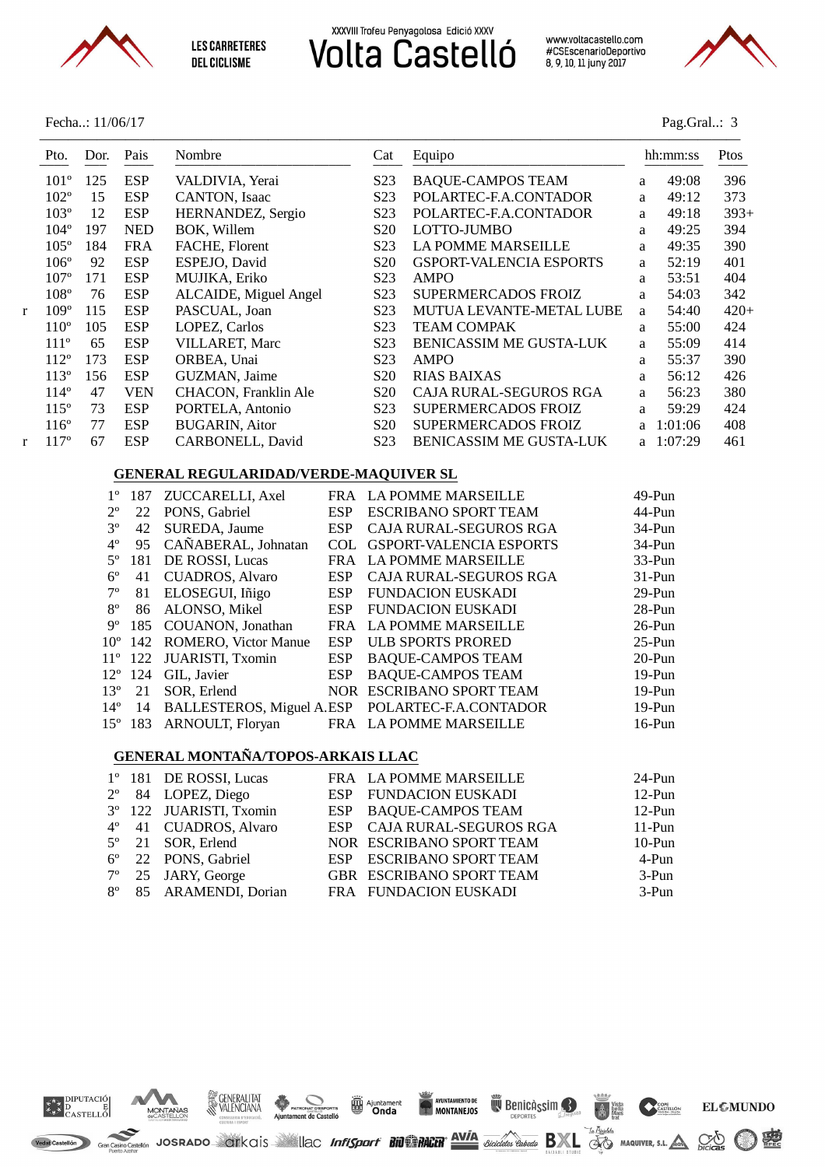

Wolta Castello And

www.voltacastello.com #CSEscenarioDeportivo<br>8, 9, 10, 11 juny 2017

NONTAINENTONE SUBDICITY BELLEMUNDO

Fecha..: 11/06/17 Pag.Gral..: 3



| Pto.             | Dor. | Pais       | Nombre                | Cat              | Equipo                         |   | hh:mm:ss    | Ptos   |
|------------------|------|------------|-----------------------|------------------|--------------------------------|---|-------------|--------|
| $101^{\circ}$    | 125  | <b>ESP</b> | VALDIVIA, Yerai       | S <sub>2</sub> 3 | <b>BAQUE-CAMPOS TEAM</b>       | a | 49:08       | 396    |
| $102^{\circ}$    | 15   | <b>ESP</b> | CANTON, Isaac         | S23              | POLARTEC-F.A.CONTADOR          | a | 49:12       | 373    |
| $103^\circ$      | 12   | <b>ESP</b> | HERNANDEZ, Sergio     | S23              | POLARTEC-F.A.CONTADOR          | a | 49:18       | $393+$ |
| $104^\circ$      | 197  | <b>NED</b> | BOK, Willem           | S20              | LOTTO-JUMBO                    | a | 49:25       | 394    |
| $105^\circ$      | 184  | <b>FRA</b> | FACHE, Florent        | S <sub>2</sub> 3 | <b>LA POMME MARSEILLE</b>      | a | 49:35       | 390    |
| $106^\circ$      | 92   | <b>ESP</b> | ESPEJO, David         | S <sub>20</sub>  | <b>GSPORT-VALENCIA ESPORTS</b> | a | 52:19       | 401    |
| $107^{\circ}$    | 171  | <b>ESP</b> | MUJIKA, Eriko         | S <sub>2</sub> 3 | <b>AMPO</b>                    | a | 53:51       | 404    |
| $108^\circ$      | 76   | <b>ESP</b> | ALCAIDE, Miguel Angel | S <sub>2</sub> 3 | <b>SUPERMERCADOS FROIZ</b>     | a | 54:03       | 342    |
| $109^\circ$      | 115  | <b>ESP</b> | PASCUAL, Joan         | S <sub>2</sub> 3 | MUTUA LEVANTE-METAL LUBE       | a | 54:40       | $420+$ |
| $110^{\circ}$    | 105  | <b>ESP</b> | LOPEZ, Carlos         | S <sub>2</sub> 3 | <b>TEAM COMPAK</b>             | a | 55:00       | 424    |
| $111^{\circ}$    | 65   | <b>ESP</b> | <b>VILLARET, Marc</b> | S <sub>2</sub> 3 | <b>BENICASSIM ME GUSTA-LUK</b> | a | 55:09       | 414    |
| $112^{\circ}$    | 173  | <b>ESP</b> | ORBEA, Unai           | S <sub>2</sub> 3 | <b>AMPO</b>                    | a | 55:37       | 390    |
| $113^{\circ}$    | 156  | <b>ESP</b> | GUZMAN, Jaime         | S20              | <b>RIAS BAIXAS</b>             | a | 56:12       | 426    |
| $114^{\circ}$    | 47   | <b>VEN</b> | CHACON. Franklin Ale  | S20              | CAJA RURAL-SEGUROS RGA         | a | 56:23       | 380    |
| $115^\circ$      | 73   | <b>ESP</b> | PORTELA, Antonio      | S <sub>2</sub> 3 | <b>SUPERMERCADOS FROIZ</b>     | a | 59:29       | 424    |
| $116^\circ$      | 77   | <b>ESP</b> | <b>BUGARIN, Aitor</b> | S <sub>20</sub>  | SUPERMERCADOS FROIZ            | a | 1:01:06     | 408    |
| 117 <sup>°</sup> | 67   | <b>ESP</b> | CARBONELL, David      | S <sub>2</sub> 3 | <b>BENICASSIM ME GUSTA-LUK</b> |   | a $1:07:29$ | 461    |
|                  |      |            |                       |                  |                                |   |             |        |

#### **GENERAL REGULARIDAD/VERDE-MAQUIVER SL**

| $1^{\circ}$  | 187              | ZUCCARELLI, Axel             |            | FRA LA POMME MARSEILLE      | $49-Pun$  |
|--------------|------------------|------------------------------|------------|-----------------------------|-----------|
| $2^{\circ}$  | 22               | PONS, Gabriel                | <b>ESP</b> | <b>ESCRIBANO SPORT TEAM</b> | 44-Pun    |
| $3^{\circ}$  | 42               | SUREDA, Jaume                | <b>ESP</b> | CAJA RURAL-SEGUROS RGA      | 34-Pun    |
| $4^{\circ}$  | 95               | CAÑABERAL, Johnatan          |            | COL GSPORT-VALENCIA ESPORTS | $34-Pun$  |
| $5^\circ$    |                  | 181 DE ROSSI, Lucas          |            | FRA LA POMME MARSEILLE      | $33-Pun$  |
| $6^{\circ}$  | 41               | <b>CUADROS, Alvaro</b>       | <b>ESP</b> | CAJA RURAL-SEGUROS RGA      | $31-Pun$  |
| $7^{\circ}$  | 81               | ELOSEGUI, Iñigo              | <b>ESP</b> | FUNDACION EUSKADI           | $29-Pun$  |
| $8^{\circ}$  |                  | 86 ALONSO, Mikel             | <b>ESP</b> | <b>FUNDACION EUSKADI</b>    | $28-Pun$  |
| $9^{\circ}$  |                  | 185 COUANON, Jonathan        |            | FRA LA POMME MARSEILLE      | $26$ -Pun |
|              |                  | 10° 142 ROMERO, Victor Manue | <b>ESP</b> | ULB SPORTS PRORED           | $25-Pun$  |
| $11^{\circ}$ |                  | 122 JUARISTI, Txomin         | <b>ESP</b> | <b>BAQUE-CAMPOS TEAM</b>    | $20-Pun$  |
|              | $12^{\circ}$ 124 | GIL, Javier                  | <b>ESP</b> | <b>BAQUE-CAMPOS TEAM</b>    | $19-Pun$  |
| $13^{\circ}$ | 21               | SOR, Erlend                  |            | NOR ESCRIBANO SPORT TEAM    | $19-Pun$  |
| $14^{\circ}$ | - 14             | BALLESTEROS, Miguel A.ESP    |            | POLARTEC-F.A.CONTADOR       | $19-Pun$  |
|              | $15^{\circ}$ 183 | ARNOULT, Floryan             |            | FRA LA POMME MARSEILLE      | $16-Pun$  |

### **GENERAL MONTAÑA/TOPOS-ARKAIS LLAC**

GENERALITAT

MONTANAS

|  | 1° 181 DE ROSSI, Lucas      | FRA LA POMME MARSEILLE     | $24-Pun$  |
|--|-----------------------------|----------------------------|-----------|
|  | $2^{\circ}$ 84 LOPEZ, Diego | ESP FUNDACION EUSKADI      | $12-Pun$  |
|  | 3º 122 JUARISTI, Txomin     | ESP BAQUE-CAMPOS TEAM      | $12$ -Pun |
|  | 4° 41 CUADROS, Alvaro       | ESP CAJA RURAL-SEGUROS RGA | $11-Pun$  |
|  | $5^{\circ}$ 21 SOR, Erlend  | NOR ESCRIBANO SPORT TEAM   | $10-Pun$  |
|  | 6° 22 PONS, Gabriel         | ESP ESCRIBANO SPORT TEAM   | 4-Pun     |
|  | $7^{\circ}$ 25 JARY, George | GBR ESCRIBANO SPORT TEAM   | $3-Pun$   |
|  | 8° 85 ARAMENDI, Dorian      | FRA FUNDACION EUSKADI      | $3-Pun$   |
|  |                             |                            |           |

Ajuntament

 $\sum_{\text{no Casten} \atop \text{oisomorphism}}$  Josepado Mkais III.ac *Infisport* Biuthan Burn avia *BXL*  $\frac{\text{a}}{\text{b}}$  Maquiver, s.l. **And** Gicles **Company** 

**PATRONAT DESPORTS**<br>Ajuntament de Castelló



Vedat Castellón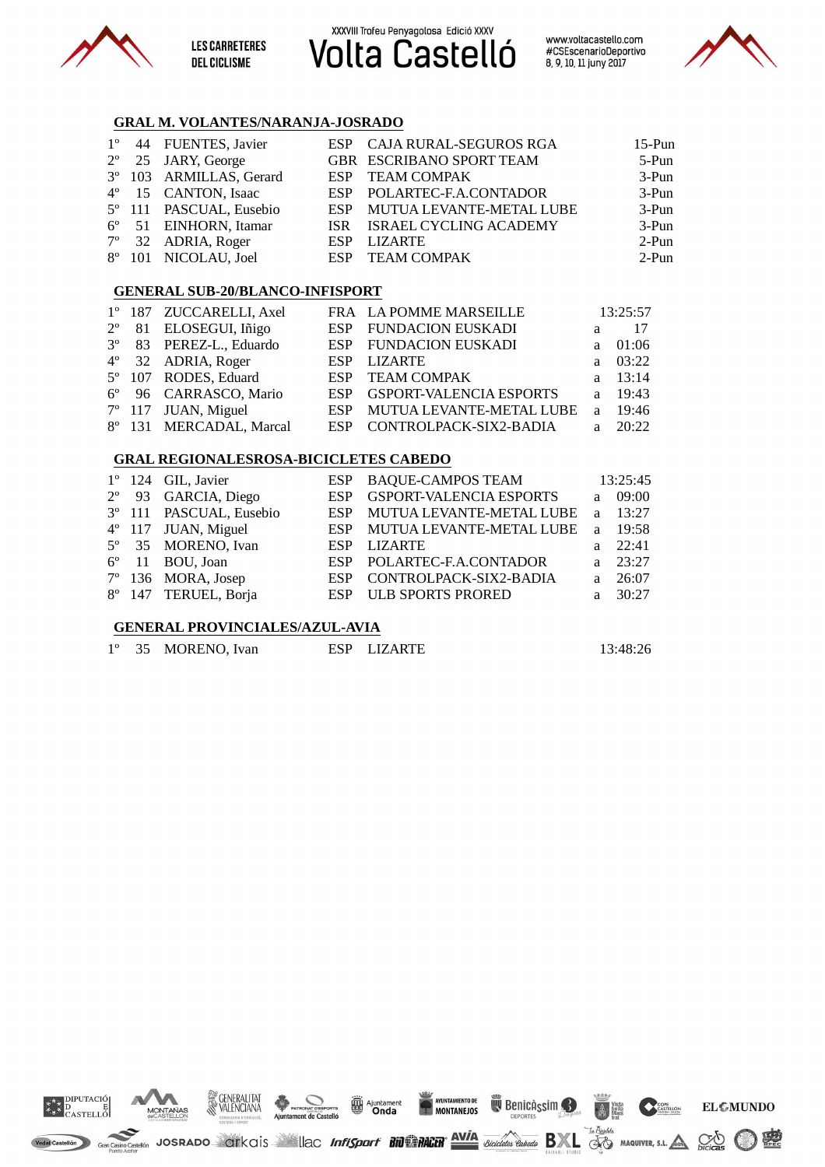

**LES CARRETERES DEL CICLISME** 

**Volta Castello** 

www.voltacastello.com #CSEscenarioDeportivo<br>8, 9, 10, 11 juny 2017



#### **GRAL M. VOLANTES/NARANJA-JOSRADO**

|  | 1° 44 FUENTES, Javier       | ESP CAJA RURAL-SEGUROS RGA   | $15-Pun$ |
|--|-----------------------------|------------------------------|----------|
|  | $2^{\circ}$ 25 JARY, George | GBR ESCRIBANO SPORT TEAM     | $5-Pun$  |
|  | 3° 103 ARMILLAS, Gerard     | ESP TEAM COMPAK              | $3-Pun$  |
|  | 4° 15 CANTON, Isaac         | ESP POLARTEC-F.A.CONTADOR    | $3-Pun$  |
|  | 5° 111 PASCUAL, Eusebio     | ESP MUTUA LEVANTE-METAL LUBE | $3-Pun$  |
|  | 6° 51 EINHORN, Itamar       | ISR ISRAEL CYCLING ACADEMY   | $3-Pun$  |
|  | $7^{\circ}$ 32 ADRIA, Roger | ESP LIZARTE                  | $2-Pun$  |
|  | 8° 101 NICOLAU, Joel        | ESP TEAM COMPAK              | 2-Pun    |

#### **GENERAL SUB-20/BLANCO-INFISPORT**

|  | 1º 187 ZUCCARELLI, Axel        | FRA LA POMME MARSEILLE       |              | 13:25:57    |
|--|--------------------------------|------------------------------|--------------|-------------|
|  | $2^{\circ}$ 81 ELOSEGUI, Iñigo | ESP FUNDACION EUSKADI        | a            | -17         |
|  | 3° 83 PEREZ-L., Eduardo        | ESP FUNDACION EUSKADI        | $\mathbf{a}$ | 01:06       |
|  | 4° 32 ADRIA, Roger             | ESP LIZARTE                  |              | a $03:22$   |
|  | 5° 107 RODES, Eduard           | ESP TEAM COMPAK              |              | $a = 13:14$ |
|  | 6° 96 CARRASCO, Mario          | ESP GSPORT-VALENCIA ESPORTS  |              | a $19:43$   |
|  | $7^{\circ}$ 117 JUAN, Miguel   | ESP MUTUA LEVANTE-METAL LUBE | a            | 19:46       |
|  | 8° 131 MERCADAL, Marcal        | ESP CONTROLPACK-SIX2-BADIA   |              | a $20:22$   |

#### **GRAL REGIONALESROSA-BICICLETES CABEDO**

|  | $1^{\circ}$ 124 GIL, Javier  | ESP BAQUE-CAMPOS TEAM        |              | 13:25:45        |
|--|------------------------------|------------------------------|--------------|-----------------|
|  | $2^{\circ}$ 93 GARCIA, Diego | ESP GSPORT-VALENCIA ESPORTS  |              | $a \quad 09:00$ |
|  | 3º 111 PASCUAL, Eusebio      | ESP MUTUA LEVANTE-METAL LUBE | a            | 13:27           |
|  | $4^{\circ}$ 117 JUAN, Miguel | ESP MUTUA LEVANTE-METAL LUBE | $\mathbf{a}$ | 19:58           |
|  | 5° 35 MORENO, Ivan           | ESP LIZARTE                  |              | a $22:41$       |
|  | $6^{\circ}$ 11 BOU, Joan     | ESP POLARTEC-F.A.CONTADOR    |              | $a \quad 23:27$ |
|  | $7^\circ$ 136 MORA, Josep    | ESP CONTROLPACK-SIX2-BADIA   |              | $a = 26:07$     |
|  | 8° 147 TERUEL, Borja         | ESP ULB SPORTS PRORED        |              | a $30:27$       |
|  |                              |                              |              |                 |

### **GENERAL PROVINCIALES/AZUL-AVIA**

| 1° 35 MORENO, Ivan<br>ESP LIZARTE | 13:48:26 |
|-----------------------------------|----------|
|-----------------------------------|----------|

**SENERALITAT SURVEYORD SENERALITAT SURVEYORD SENERALITAT SURVEYORD SURVEYORD SURVEYORD SURVEYORD SURVEYORD SURVEYORD SURVEYORD SURVEYORD SURVEYORD SURVEYORD SURVEYORD SURVEYORD SURVEYORD SURVEYORD SURVEYORD SURVEYORD SURVE** 



**MONTAÑAS**<br>deCASTELLON